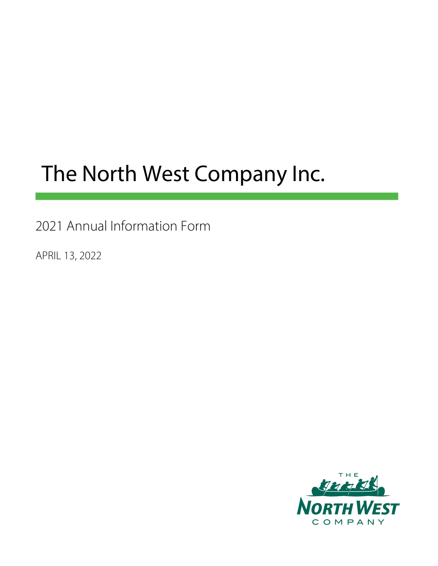# The North West Company Inc.

2021 Annual Information Form

APRIL 13, 2022

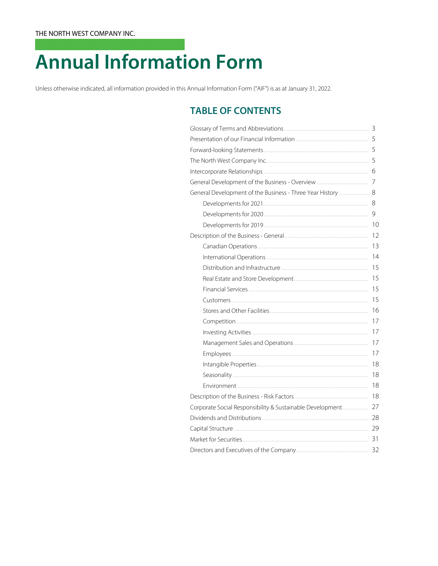# **Annual Information Form**

Unless otherwise indicated, all information provided in this Annual Information Form ("AIF") is as at January 31, 2022.

## **TABLE OF CONTENTS**

|                                                           | 3  |  |  |  |
|-----------------------------------------------------------|----|--|--|--|
|                                                           |    |  |  |  |
|                                                           | 5  |  |  |  |
|                                                           | 5  |  |  |  |
|                                                           | 6  |  |  |  |
|                                                           |    |  |  |  |
| General Development of the Business - Three Year History  | 8  |  |  |  |
|                                                           | 8  |  |  |  |
|                                                           | 9  |  |  |  |
|                                                           | 10 |  |  |  |
|                                                           | 12 |  |  |  |
|                                                           | 13 |  |  |  |
|                                                           | 14 |  |  |  |
|                                                           | 15 |  |  |  |
|                                                           | 15 |  |  |  |
|                                                           | 15 |  |  |  |
|                                                           | 15 |  |  |  |
|                                                           | 16 |  |  |  |
|                                                           | 17 |  |  |  |
|                                                           | 17 |  |  |  |
|                                                           | 17 |  |  |  |
|                                                           | 17 |  |  |  |
|                                                           | 18 |  |  |  |
|                                                           | 18 |  |  |  |
|                                                           | 18 |  |  |  |
|                                                           | 18 |  |  |  |
| Corporate Social Responsibility & Sustainable Development | 27 |  |  |  |
|                                                           |    |  |  |  |
|                                                           |    |  |  |  |
|                                                           | 31 |  |  |  |
|                                                           |    |  |  |  |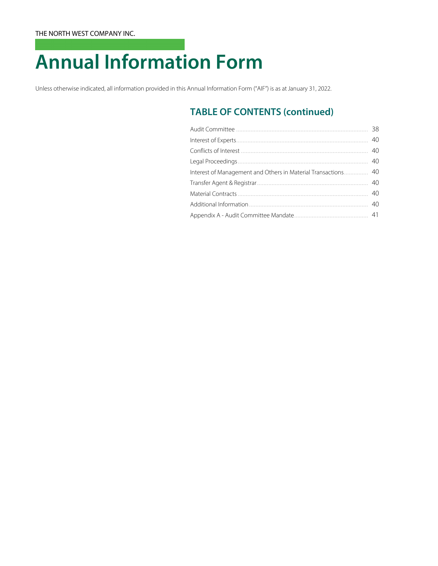# **Annual Information Form**

Unless otherwise indicated, all information provided in this Annual Information Form ("AIF") is as at January 31, 2022.

## **TABLE OF CONTENTS (continued)**

|                                                            | 38 |
|------------------------------------------------------------|----|
|                                                            | 40 |
|                                                            | 40 |
|                                                            | 40 |
| Interest of Management and Others in Material Transactions | 40 |
|                                                            | 40 |
|                                                            | 40 |
|                                                            | 40 |
|                                                            |    |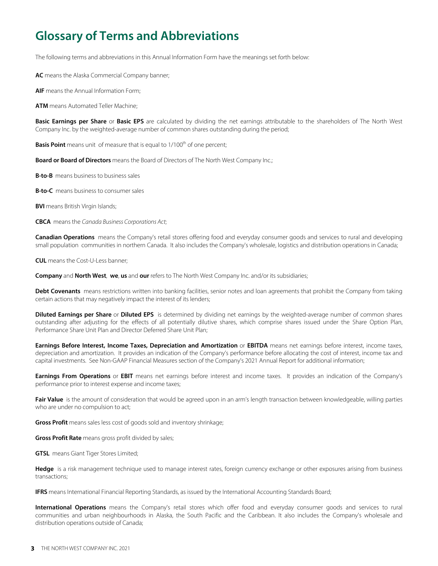## **Glossary of Terms and Abbreviations**

The following terms and abbreviations in this Annual Information Form have the meanings set forth below:

**AC** means the Alaska Commercial Company banner;

**AIF** means the Annual Information Form;

**ATM** means Automated Teller Machine;

**Basic Earnings per Share** or **Basic EPS** are calculated by dividing the net earnings attributable to the shareholders of The North West Company Inc. by the weighted-average number of common shares outstanding during the period;

**Basis Point** means unit of measure that is equal to 1/100<sup>th</sup> of one percent;

**Board or Board of Directors** means the Board of Directors of The North West Company Inc.;

**B-to-B** means business to business sales

**B-to-C** means business to consumer sales

**BVI** means British Virgin Islands;

**CBCA** means the Canada Business Corporations Act;

**Canadian Operations** means the Company's retail stores offering food and everyday consumer goods and services to rural and developing small population communities in northern Canada. It also includes the Company's wholesale, logistics and distribution operations in Canada;

**CUL** means the Cost-U-Less banner;

**Company** and **North West**, **we**, **us** and **our** refers to The North West Company Inc. and/or its subsidiaries;

Debt Covenants means restrictions written into banking facilities, senior notes and loan agreements that prohibit the Company from taking certain actions that may negatively impact the interest of its lenders;

**Diluted Earnings per Share** or **Diluted EPS** is determined by dividing net earnings by the weighted-average number of common shares outstanding after adjusting for the effects of all potentially dilutive shares, which comprise shares issued under the Share Option Plan, Performance Share Unit Plan and Director Deferred Share Unit Plan;

**Earnings Before Interest, Income Taxes, Depreciation and Amortization** or **EBITDA** means net earnings before interest, income taxes, depreciation and amortization. It provides an indication of the Company's performance before allocating the cost of interest, income tax and capital investments. See Non-GAAP Financial Measures section of the Company's 2021 Annual Report for additional information;

**Earnings From Operations** or **EBIT** means net earnings before interest and income taxes. It provides an indication of the Company's performance prior to interest expense and income taxes;

Fair Value is the amount of consideration that would be agreed upon in an arm's length transaction between knowledgeable, willing parties who are under no compulsion to act;

**Gross Profit** means sales less cost of goods sold and inventory shrinkage;

**Gross Profit Rate** means gross profit divided by sales;

**GTSL** means Giant Tiger Stores Limited;

**Hedge** is a risk management technique used to manage interest rates, foreign currency exchange or other exposures arising from business transactions;

**IFRS** means International Financial Reporting Standards, as issued by the International Accounting Standards Board;

**International Operations** means the Company's retail stores which offer food and everyday consumer goods and services to rural communities and urban neighbourhoods in Alaska, the South Pacific and the Caribbean. It also includes the Company's wholesale and distribution operations outside of Canada;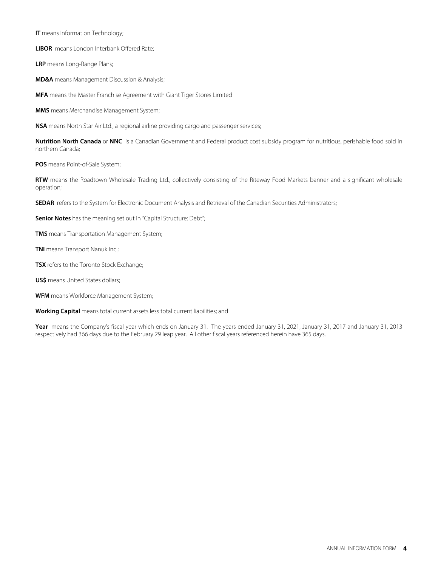**IT** means Information Technology;

**LIBOR** means London Interbank Offered Rate;

**LRP** means Long-Range Plans;

**MD&A** means Management Discussion & Analysis;

**MFA** means the Master Franchise Agreement with Giant Tiger Stores Limited

**MMS** means Merchandise Management System;

**NSA** means North Star Air Ltd., a regional airline providing cargo and passenger services;

**Nutrition North Canada** or **NNC** is a Canadian Government and Federal product cost subsidy program for nutritious, perishable food sold in northern Canada;

**POS** means Point-of-Sale System;

**RTW** means the Roadtown Wholesale Trading Ltd., collectively consisting of the Riteway Food Markets banner and a significant wholesale operation;

**SEDAR** refers to the System for Electronic Document Analysis and Retrieval of the Canadian Securities Administrators;

**Senior Notes** has the meaning set out in "Capital Structure: Debt";

**TMS** means Transportation Management System;

**TNI** means Transport Nanuk Inc.;

**TSX** refers to the Toronto Stock Exchange;

**US\$** means United States dollars;

**WFM** means Workforce Management System;

**Working Capital** means total current assets less total current liabilities; and

Year means the Company's fiscal year which ends on January 31. The years ended January 31, 2021, January 31, 2017 and January 31, 2013 respectively had 366 days due to the February 29 leap year. All other fiscal years referenced herein have 365 days.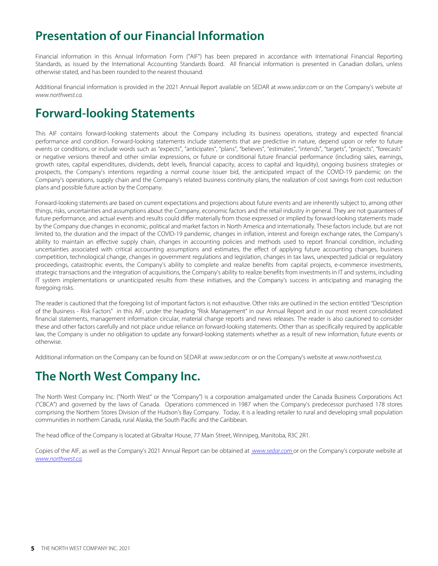## **Presentation of our Financial Information**

Financial information in this Annual Information Form ("AIF") has been prepared in accordance with International Financial Reporting Standards, as issued by the International Accounting Standards Board. All financial information is presented in Canadian dollars, unless otherwise stated, and has been rounded to the nearest thousand.

Additional financial information is provided in the 2021 Annual Report available on SEDAR at [www.sedar.com](http://www.sedar.com) or on the Company's website at [www.northwest.ca](http://www.northwest.ca).

## **Forward-looking Statements**

This AIF contains forward-looking statements about the Company including its business operations, strategy and expected financial performance and condition. Forward-looking statements include statements that are predictive in nature, depend upon or refer to future events or conditions, or include words such as "expects", "anticipates", "plans", "believes", "estimates", "intends", "targets", "projects", "forecasts" or negative versions thereof and other similar expressions, or future or conditional future financial performance (including sales, earnings, growth rates, capital expenditures, dividends, debt levels, financial capacity, access to capital and liquidity), ongoing business strategies or prospects, the Company's intentions regarding a normal course issuer bid, the anticipated impact of the COVID-19 pandemic on the Company's operations, supply chain and the Company's related business continuity plans, the realization of cost savings from cost reduction plans and possible future action by the Company.

Forward-looking statements are based on current expectations and projections about future events and are inherently subject to, among other things, risks, uncertainties and assumptions about the Company, economic factors and the retail industry in general. They are not guarantees of future performance, and actual events and results could differ materially from those expressed or implied by forward-looking statements made by the Company due changes in economic, political and market factors in North America and internationally. These factors include, but are not limited to, the duration and the impact of the COVID-19 pandemic, changes in inflation, interest and foreign exchange rates, the Company's ability to maintain an effective supply chain, changes in accounting policies and methods used to report financial condition, including uncertainties associated with critical accounting assumptions and estimates, the effect of applying future accounting changes, business competition, technological change, changes in government regulations and legislation, changes in tax laws, unexpected judicial or regulatory proceedings, catastrophic events, the Company's ability to complete and realize benefits from capital projects, e-commerce investments, strategic transactions and the integration of acquisitions, the Company's ability to realize benefits from investments in IT and systems, including IT system implementations or unanticipated results from these initiatives, and the Company's success in anticipating and managing the foregoing risks.

The reader is cautioned that the foregoing list of important factors is not exhaustive. Other risks are outlined in the section entitled "Description of the Business - Risk Factors" in this AIF, under the heading "Risk Management" in our Annual Report and in our most recent consolidated financial statements, management information circular, material change reports and news releases. The reader is also cautioned to consider these and other factors carefully and not place undue reliance on forward-looking statements. Other than as specifically required by applicable law, the Company is under no obligation to update any forward-looking statements whether as a result of new information, future events or otherwise.

Additional information on the Company can be found on SEDAR at [www.sedar.com](http://www.sedar.com) or on the Company's website at [www.northwest.ca](http://www.northwest.ca).

## **The North West Company Inc.**

The North West Company Inc. ("North West" or the "Company") is a corporation amalgamated under the Canada Business Corporations Act ("CBCA") and governed by the laws of Canada. Operations commenced in 1987 when the Company's predecessor purchased 178 stores comprising the Northern Stores Division of the Hudson's Bay Company. Today, it is a leading retailer to rural and developing small population communities in northern Canada, rural Alaska, the South Pacific and the Caribbean.

The head office of the Company is located at Gibraltar House, 77 Main Street, Winnipeg, Manitoba, R3C 2R1.

Copies of the AIF, as well as the Company's 2021 Annual Report can be obtained at [www.sedar.com](http://www.sedar.com) or on the Company's corporate website at [www.northwest.ca](http://www.northwest.ca).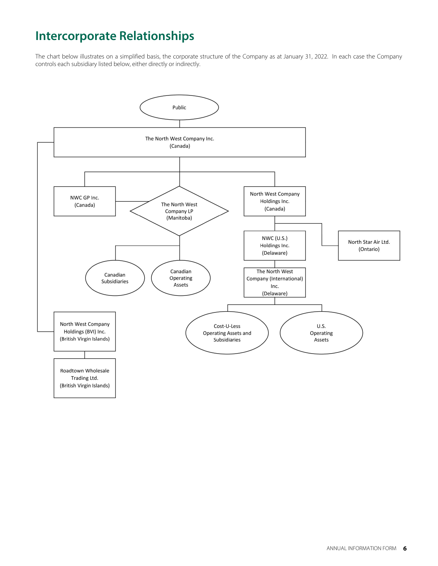## **Intercorporate Relationships**

The chart below illustrates on a simplified basis, the corporate structure of the Company as at January 31, 2022. In each case the Company controls each subsidiary listed below, either directly or indirectly.

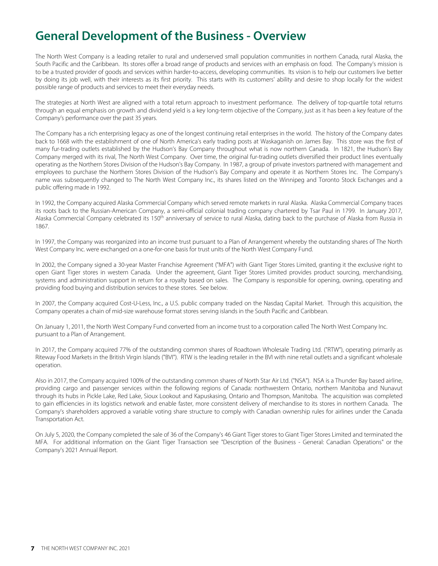## **General Development of the Business - Overview**

The North West Company is a leading retailer to rural and underserved small population communities in northern Canada, rural Alaska, the South Pacific and the Caribbean. Its stores offer a broad range of products and services with an emphasis on food. The Company's mission is to be a trusted provider of goods and services within harder-to-access, developing communities. Its vision is to help our customers live better by doing its job well, with their interests as its first priority. This starts with its customers' ability and desire to shop locally for the widest possible range of products and services to meet their everyday needs.

The strategies at North West are aligned with a total return approach to investment performance. The delivery of top-quartile total returns through an equal emphasis on growth and dividend yield is a key long-term objective of the Company, just as it has been a key feature of the Company's performance over the past 35 years.

The Company has a rich enterprising legacy as one of the longest continuing retail enterprises in the world. The history of the Company dates back to 1668 with the establishment of one of North America's early trading posts at Waskaganish on James Bay. This store was the first of many fur-trading outlets established by the Hudson's Bay Company throughout what is now northern Canada. In 1821, the Hudson's Bay Company merged with its rival, The North West Company. Over time, the original fur-trading outlets diversified their product lines eventually operating as the Northern Stores Division of the Hudson's Bay Company. In 1987, a group of private investors partnered with management and employees to purchase the Northern Stores Division of the Hudson's Bay Company and operate it as Northern Stores Inc. The Company's name was subsequently changed to The North West Company Inc., its shares listed on the Winnipeg and Toronto Stock Exchanges and a public offering made in 1992.

In 1992, the Company acquired Alaska Commercial Company which served remote markets in rural Alaska. Alaska Commercial Company traces its roots back to the Russian-American Company, a semi-official colonial trading company chartered by Tsar Paul in 1799. In January 2017, Alaska Commercial Company celebrated its 150<sup>th</sup> anniversary of service to rural Alaska, dating back to the purchase of Alaska from Russia in 1867.

In 1997, the Company was reorganized into an income trust pursuant to a Plan of Arrangement whereby the outstanding shares of The North West Company Inc. were exchanged on a one-for-one basis for trust units of the North West Company Fund.

In 2002, the Company signed a 30-year Master Franchise Agreement ("MFA") with Giant Tiger Stores Limited, granting it the exclusive right to open Giant Tiger stores in western Canada. Under the agreement, Giant Tiger Stores Limited provides product sourcing, merchandising, systems and administration support in return for a royalty based on sales. The Company is responsible for opening, owning, operating and providing food buying and distribution services to these stores. See below.

In 2007, the Company acquired Cost-U-Less, Inc., a U.S. public company traded on the Nasdaq Capital Market. Through this acquisition, the Company operates a chain of mid-size warehouse format stores serving islands in the South Pacific and Caribbean.

On January 1, 2011, the North West Company Fund converted from an income trust to a corporation called The North West Company Inc. pursuant to a Plan of Arrangement.

In 2017, the Company acquired 77% of the outstanding common shares of Roadtown Wholesale Trading Ltd. ("RTW"), operating primarily as Riteway Food Markets in the British Virgin Islands ("BVI"). RTW is the leading retailer in the BVI with nine retail outlets and a significant wholesale operation.

Also in 2017, the Company acquired 100% of the outstanding common shares of North Star Air Ltd. ("NSA"). NSA is a Thunder Bay based airline, providing cargo and passenger services within the following regions of Canada: northwestern Ontario, northern Manitoba and Nunavut through its hubs in Pickle Lake, Red Lake, Sioux Lookout and Kapuskasing, Ontario and Thompson, Manitoba. The acquisition was completed to gain efficiencies in its logistics network and enable faster, more consistent delivery of merchandise to its stores in northern Canada. The Company's shareholders approved a variable voting share structure to comply with Canadian ownership rules for airlines under the Canada Transportation Act.

On July 5, 2020, the Company completed the sale of 36 of the Company's 46 Giant Tiger stores to Giant Tiger Stores Limited and terminated the MFA. For additional information on the Giant Tiger Transaction see "Description of the Business - General: Canadian Operations" or the Company's 2021 Annual Report.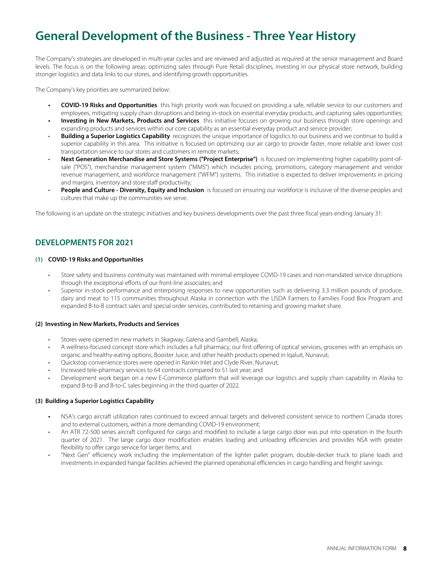## **General Development of the Business - Three Year History**

The Company's strategies are developed in multi-year cycles and are reviewed and adjusted as required at the senior management and Board levels. The focus is on the following areas: optimizing sales through Pure Retail disciplines, investing in our physical store network, building stronger logistics and data links to our stores, and identifying growth opportunities.

The Company's key priorities are summarized below:

- **COVID-19 Risks and Opportunities** this high priority work was focused on providing a safe, reliable service to our customers and employees, mitigating supply chain disruptions and being in-stock on essential everyday products, and capturing sales opportunities;
- **Investing in New Markets, Products and Services** this initiative focuses on growing our business through store openings and expanding products and services within our core capability as an essential everyday product and service provider;
- **Building a Superior Logistics Capability** recognizes the unique importance of logistics to our business and we continue to build a superior capability in this area. This initiative is focused on optimizing our air cargo to provide faster, more reliable and lower cost transportation service to our stores and customers in remote markets;
- **Next Generation Merchandise and Store Systems ("Project Enterprise")** is focused on implementing higher capability point-ofsale ("POS"), merchandise management system ("MMS") which includes pricing, promotions, category management and vendor revenue management, and workforce management ("WFM") systems. This initiative is expected to deliver improvements in pricing and margins, inventory and store staff productivity;
- **People and Culture Diversity, Equity and Inclusion** is focused on ensuring our workforce is inclusive of the diverse peoples and cultures that make up the communities we serve.

The following is an update on the strategic initiatives and key business developments over the past three fiscal years ending January 31:

### **DEVELOPMENTS FOR 2021**

#### **(1) COVID-19 Risks and Opportunities**

- Store safety and business continuity was maintained with minimal employee COVID-19 cases and non-mandated service disruptions through the exceptional efforts of our front-line associates; and
- Superior in-stock performance and enterprising responses to new opportunities such as delivering 3.3 million pounds of produce, dairy and meat to 115 communities throughout Alaska in connection with the USDA Farmers to Families Food Box Program and expanded B-to-B contract sales and special order services, contributed to retaining and growing market share.

#### **(2) Investing in New Markets, Products and Services**

- Stores were opened in new markets in Skagway, Galena and Gambell, Alaska;
- A wellness-focused concept store which includes a full pharmacy, our first offering of optical services, groceries with an emphasis on organic and healthy-eating options, Booster Juice, and other health products opened in Iqaluit, Nunavut;
- Quickstop convenience stores were opened in Rankin Inlet and Clyde River, Nunavut;
- Increased tele-pharmacy services to 64 contracts compared to 51 last year; and
- Development work began on a new E-Commerce platform that will leverage our logistics and supply chain capability in Alaska to expand B-to-B and B-to-C sales beginning in the third quarter of 2022.

#### **(3) Building a Superior Logistics Capability**

- **•** NSA's cargo aircraft utilization rates continued to exceed annual targets and delivered consistent service to northern Canada stores and to external customers, within a more demanding COVID-19 environment;
- An ATR 72-500 series aircraft configured for cargo and modified to include a large cargo door was put into operation in the fourth quarter of 2021. The large cargo door modification enables loading and unloading efficiencies and provides NSA with greater flexibility to offer cargo service for larger items; and
- "Next Gen" efficiency work including the implementation of the lighter pallet program, double-decker truck to plane loads and investments in expanded hangar facilities achieved the planned operational efficiencies in cargo handling and freight savings.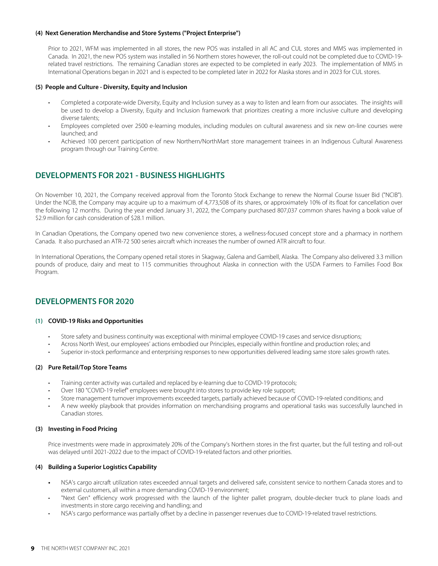#### **(4) Next Generation Merchandise and Store Systems ("Project Enterprise")**

Prior to 2021, WFM was implemented in all stores, the new POS was installed in all AC and CUL stores and MMS was implemented in Canada. In 2021, the new POS system was installed in 56 Northern stores however, the roll-out could not be completed due to COVID-19 related travel restrictions. The remaining Canadian stores are expected to be completed in early 2023. The implementation of MMS in International Operations began in 2021 and is expected to be completed later in 2022 for Alaska stores and in 2023 for CUL stores.

#### **(5) People and Culture - Diversity, Equity and Inclusion**

- Completed a corporate-wide Diversity, Equity and Inclusion survey as a way to listen and learn from our associates. The insights will be used to develop a Diversity, Equity and Inclusion framework that prioritizes creating a more inclusive culture and developing diverse talents;
- Employees completed over 2500 e-learning modules, including modules on cultural awareness and six new on-line courses were launched; and
- Achieved 100 percent participation of new Northern/NorthMart store management trainees in an Indigenous Cultural Awareness program through our Training Centre.

### **DEVELOPMENTS FOR 2021 - BUSINESS HIGHLIGHTS**

On November 10, 2021, the Company received approval from the Toronto Stock Exchange to renew the Normal Course Issuer Bid ("NCIB"). Under the NCIB, the Company may acquire up to a maximum of 4,773,508 of its shares, or approximately 10% of its float for cancellation over the following 12 months. During the year ended January 31, 2022, the Company purchased 807,037 common shares having a book value of \$2.9 million for cash consideration of \$28.1 million.

In Canadian Operations, the Company opened two new convenience stores, a wellness-focused concept store and a pharmacy in northern Canada. It also purchased an ATR-72 500 series aircraft which increases the number of owned ATR aircraft to four.

In International Operations, the Company opened retail stores in Skagway, Galena and Gambell, Alaska. The Company also delivered 3.3 million pounds of produce, dairy and meat to 115 communities throughout Alaska in connection with the USDA Farmers to Families Food Box Program.

### **DEVELOPMENTS FOR 2020**

#### **(1) COVID-19 Risks and Opportunities**

- Store safety and business continuity was exceptional with minimal employee COVID-19 cases and service disruptions;
- Across North West, our employees' actions embodied our Principles, especially within frontline and production roles; and
- Superior in-stock performance and enterprising responses to new opportunities delivered leading same store sales growth rates.

#### **(2) Pure Retail/Top Store Teams**

- Training center activity was curtailed and replaced by e-learning due to COVID-19 protocols;
- Over 180 "COVID-19 relief" employees were brought into stores to provide key role support;
- Store management turnover improvements exceeded targets, partially achieved because of COVID-19-related conditions; and
- A new weekly playbook that provides information on merchandising programs and operational tasks was successfully launched in Canadian stores.

#### **(3) Investing in Food Pricing**

Price investments were made in approximately 20% of the Company's Northern stores in the first quarter, but the full testing and roll-out was delayed until 2021-2022 due to the impact of COVID-19-related factors and other priorities.

#### **(4) Building a Superior Logistics Capability**

- **•** NSA's cargo aircraft utilization rates exceeded annual targets and delivered safe, consistent service to northern Canada stores and to external customers, all within a more demanding COVID-19 environment;
- "Next Gen" efficiency work progressed with the launch of the lighter pallet program, double-decker truck to plane loads and investments in store cargo receiving and handling; and
- NSA's cargo performance was partially offset by a decline in passenger revenues due to COVID-19-related travel restrictions.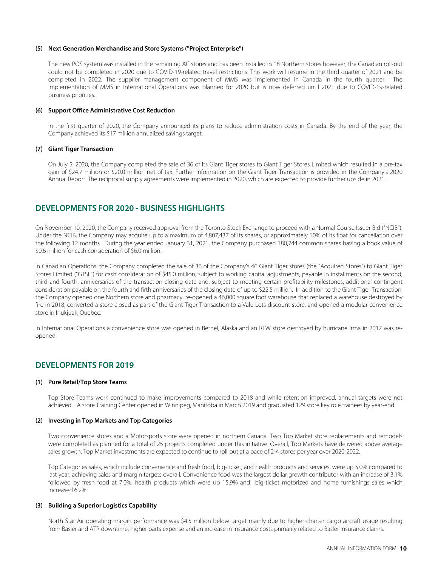#### **(5) Next Generation Merchandise and Store Systems ("Project Enterprise")**

The new POS system was installed in the remaining AC stores and has been installed in 18 Northern stores however, the Canadian roll-out could not be completed in 2020 due to COVID-19-related travel restrictions. This work will resume in the third quarter of 2021 and be completed in 2022. The supplier management component of MMS was implemented in Canada in the fourth quarter. The implementation of MMS in International Operations was planned for 2020 but is now deferred until 2021 due to COVID-19-related business priorities.

#### **(6) Support Office Administrative Cost Reduction**

In the first quarter of 2020, the Company announced its plans to reduce administration costs in Canada. By the end of the year, the Company achieved its \$17 million annualized savings target.

#### **(7) Giant Tiger Transaction**

On July 5, 2020, the Company completed the sale of 36 of its Giant Tiger stores to Giant Tiger Stores Limited which resulted in a pre-tax gain of \$24.7 million or \$20.0 million net of tax. Further information on the Giant Tiger Transaction is provided in the Company's 2020 Annual Report. The reciprocal supply agreements were implemented in 2020, which are expected to provide further upside in 2021.

#### **DEVELOPMENTS FOR 2020 - BUSINESS HIGHLIGHTS**

On November 10, 2020, the Company received approval from the Toronto Stock Exchange to proceed with a Normal Course Issuer Bid ("NCIB"). Under the NCIB, the Company may acquire up to a maximum of 4,807,437 of its shares, or approximately 10% of its float for cancellation over the following 12 months. During the year ended January 31, 2021, the Company purchased 180,744 common shares having a book value of \$0.6 million for cash consideration of \$6.0 million.

In Canadian Operations, the Company completed the sale of 36 of the Company's 46 Giant Tiger stores (the "Acquired Stores") to Giant Tiger Stores Limited ("GTSL") for cash consideration of \$45.0 million, subject to working capital adjustments, payable in installments on the second, third and fourth, anniversaries of the transaction closing date and, subject to meeting certain profitability milestones, additional contingent consideration payable on the fourth and firth anniversaries of the closing date of up to \$22.5 million. In addition to the Giant Tiger Transaction, the Company opened one Northern store and pharmacy, re-opened a 46,000 square foot warehouse that replaced a warehouse destroyed by fire in 2018, converted a store closed as part of the Giant Tiger Transaction to a Valu Lots discount store, and opened a modular convenience store in Inukjuak, Quebec.

In International Operations a convenience store was opened in Bethel, Alaska and an RTW store destroyed by hurricane Irma in 2017 was reopened.

#### **DEVELOPMENTS FOR 2019**

#### **(1) Pure Retail/Top Store Teams**

Top Store Teams work continued to make improvements compared to 2018 and while retention improved, annual targets were not achieved. A store Training Center opened in Winnipeg, Manitoba in March 2019 and graduated 129 store key role trainees by year-end.

#### **(2) Investing in Top Markets and Top Categories**

Two convenience stores and a Motorsports store were opened in northern Canada. Two Top Market store replacements and remodels were completed as planned for a total of 25 projects completed under this initiative. Overall, Top Markets have delivered above average sales growth. Top Market investments are expected to continue to roll-out at a pace of 2-4 stores per year over 2020-2022.

Top Categories sales, which include convenience and fresh food, big-ticket, and health products and services, were up 5.0% compared to last year, achieving sales and margin targets overall. Convenience food was the largest dollar growth contributor with an increase of 3.1% followed by fresh food at 7.0%, health products which were up 15.9% and big-ticket motorized and home furnishings sales which increased 6.2%.

#### **(3) Building a Superior Logistics Capability**

North Star Air operating margin performance was \$4.5 million below target mainly due to higher charter cargo aircraft usage resulting from Basler and ATR downtime, higher parts expense and an increase in insurance costs primarily related to Basler insurance claims.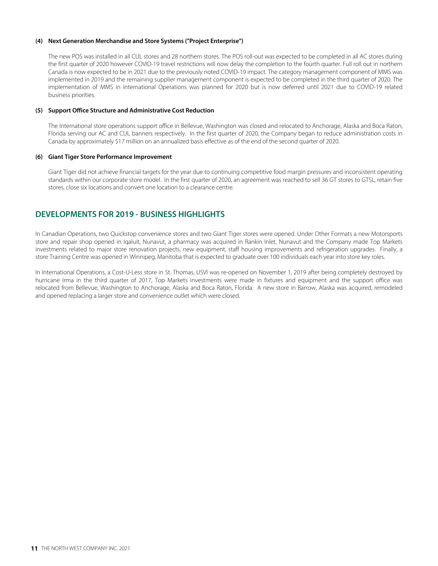#### **(4) Next Generation Merchandise and Store Systems ("Project Enterprise")**

The new POS was installed in all CUL stores and 28 northern stores. The POS roll-out was expected to be completed in all AC stores during the first quarter of 2020 however COVID-19 travel restrictions will now delay the completion to the fourth quarter. Full roll out in northern Canada is now expected to be in 2021 due to the previously noted COVID-19 impact. The category management component of MMS was implemented in 2019 and the remaining supplier management component is expected to be completed in the third quarter of 2020. The implementation of MMS in International Operations was planned for 2020 but is now deferred until 2021 due to COVID-19 related business priorities.

#### **(5) Support Office Structure and Administrative Cost Reduction**

The International store operations support office in Bellevue, Washington was closed and relocated to Anchorage, Alaska and Boca Raton, Florida serving our AC and CUL banners respectively. In the first quarter of 2020, the Company began to reduce administration costs in Canada by approximately \$17 million on an annualized basis effective as of the end of the second quarter of 2020.

#### **(6) Giant Tiger Store Performance Improvement**

Giant Tiger did not achieve financial targets for the year due to continuing competitive food margin pressures and inconsistent operating standards within our corporate store model. In the first quarter of 2020, an agreement was reached to sell 36 GT stores to GTSL, retain five stores, close six locations and convert one location to a clearance centre.

## **DEVELOPMENTS FOR 2019 - BUSINESS HIGHLIGHTS**

In Canadian Operations, two Quickstop convenience stores and two Giant Tiger stores were opened. Under Other Formats a new Motorsports store and repair shop opened in Iqaluit, Nunavut, a pharmacy was acquired in Rankin Inlet, Nunavut and the Company made Top Markets investments related to major store renovation projects, new equipment, staff housing improvements and refrigeration upgrades. Finally, a store Training Centre was opened in Winnipeg, Manitoba that is expected to graduate over 100 individuals each year into store key roles.

In International Operations, a Cost-U-Less store in St. Thomas, USVI was re-opened on November 1, 2019 after being completely destroyed by hurricane Irma in the third quarter of 2017, Top Markets investments were made in fixtures and equipment and the support office was relocated from Bellevue, Washington to Anchorage, Alaska and Boca Raton, Florida. A new store in Barrow, Alaska was acquired, remodeled and opened replacing a larger store and convenience outlet which were closed.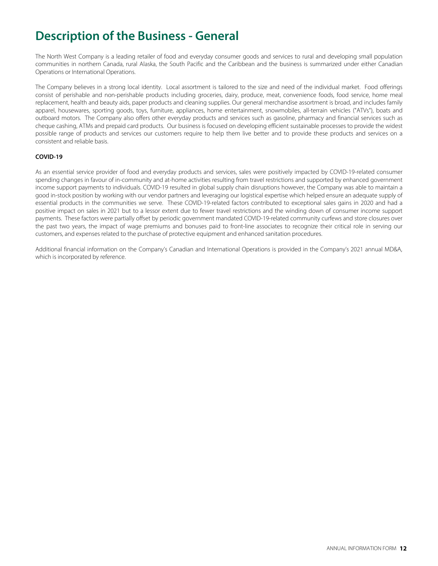## **Description of the Business - General**

The North West Company is a leading retailer of food and everyday consumer goods and services to rural and developing small population communities in northern Canada, rural Alaska, the South Pacific and the Caribbean and the business is summarized under either Canadian Operations or International Operations.

The Company believes in a strong local identity. Local assortment is tailored to the size and need of the individual market. Food offerings consist of perishable and non-perishable products including groceries, dairy, produce, meat, convenience foods, food service, home meal replacement, health and beauty aids, paper products and cleaning supplies. Our general merchandise assortment is broad, and includes family apparel, housewares, sporting goods, toys, furniture, appliances, home entertainment, snowmobiles, all-terrain vehicles ("ATVs"), boats and outboard motors. The Company also offers other everyday products and services such as gasoline, pharmacy and financial services such as cheque cashing, ATMs and prepaid card products. Our business is focused on developing efficient sustainable processes to provide the widest possible range of products and services our customers require to help them live better and to provide these products and services on a consistent and reliable basis.

#### **COVID-19**

As an essential service provider of food and everyday products and services, sales were positively impacted by COVID-19-related consumer spending changes in favour of in-community and at-home activities resulting from travel restrictions and supported by enhanced government income support payments to individuals. COVID-19 resulted in global supply chain disruptions however, the Company was able to maintain a good in-stock position by working with our vendor partners and leveraging our logistical expertise which helped ensure an adequate supply of essential products in the communities we serve. These COVID-19-related factors contributed to exceptional sales gains in 2020 and had a positive impact on sales in 2021 but to a lessor extent due to fewer travel restrictions and the winding down of consumer income support payments. These factors were partially offset by periodic government mandated COVID-19-related community curfews and store closures over the past two years, the impact of wage premiums and bonuses paid to front-line associates to recognize their critical role in serving our customers, and expenses related to the purchase of protective equipment and enhanced sanitation procedures.

Additional financial information on the Company's Canadian and International Operations is provided in the Company's 2021 annual MD&A, which is incorporated by reference.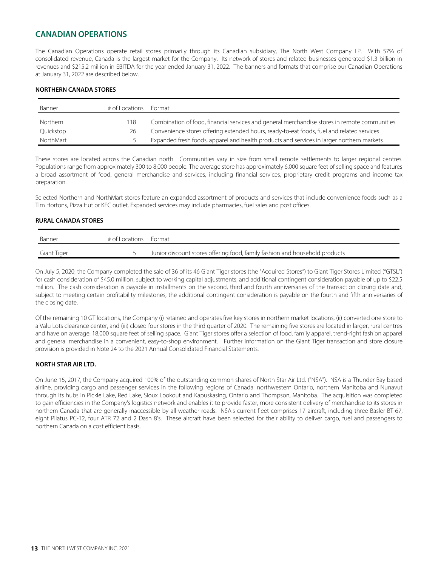## **CANADIAN OPERATIONS**

The Canadian Operations operate retail stores primarily through its Canadian subsidiary, The North West Company LP. With 57% of consolidated revenue, Canada is the largest market for the Company. Its network of stores and related businesses generated \$1.3 billion in revenues and \$215.2 million in EBITDA for the year ended January 31, 2022. The banners and formats that comprise our Canadian Operations at January 31, 2022 are described below.

#### **NORTHERN CANADA STORES**

| Banner    | # of Locations | Format                                                                                       |
|-----------|----------------|----------------------------------------------------------------------------------------------|
| Northern  | 18             | Combination of food, financial services and general merchandise stores in remote communities |
| Quickstop | 26             | Convenience stores offering extended hours, ready-to-eat foods, fuel and related services    |
| NorthMart |                | Expanded fresh foods, apparel and health products and services in larger northern markets    |

These stores are located across the Canadian north. Communities vary in size from small remote settlements to larger regional centres. Populations range from approximately 300 to 8,000 people. The average store has approximately 6,000 square feet of selling space and features a broad assortment of food, general merchandise and services, including financial services, proprietary credit programs and income tax preparation.

Selected Northern and NorthMart stores feature an expanded assortment of products and services that include convenience foods such as a Tim Hortons, Pizza Hut or KFC outlet. Expanded services may include pharmacies, fuel sales and post offices.

#### **RURAL CANADA STORES**

| Banner      | # of Locations Format |                                                                             |
|-------------|-----------------------|-----------------------------------------------------------------------------|
| Giant Tiger |                       | Junior discount stores offering food, family fashion and household products |

On July 5, 2020, the Company completed the sale of 36 of its 46 Giant Tiger stores (the "Acquired Stores") to Giant Tiger Stores Limited ("GTSL") for cash consideration of \$45.0 million, subject to working capital adjustments, and additional contingent consideration payable of up to \$22.5 million. The cash consideration is payable in installments on the second, third and fourth anniversaries of the transaction closing date and, subject to meeting certain profitability milestones, the additional contingent consideration is payable on the fourth and fifth anniversaries of the closing date.

Of the remaining 10 GT locations, the Company (i) retained and operates five key stores in northern market locations, (ii) converted one store to a Valu Lots clearance center, and (iii) closed four stores in the third quarter of 2020. The remaining five stores are located in larger, rural centres and have on average, 18,000 square feet of selling space. Giant Tiger stores offer a selection of food, family apparel, trend-right fashion apparel and general merchandise in a convenient, easy-to-shop environment. Further information on the Giant Tiger transaction and store closure provision is provided in Note 24 to the 2021 Annual Consolidated Financial Statements.

#### **NORTH STAR AIR LTD.**

On June 15, 2017, the Company acquired 100% of the outstanding common shares of North Star Air Ltd. ("NSA"). NSA is a Thunder Bay based airline, providing cargo and passenger services in the following regions of Canada: northwestern Ontario, northern Manitoba and Nunavut through its hubs in Pickle Lake, Red Lake, Sioux Lookout and Kapuskasing, Ontario and Thompson, Manitoba. The acquisition was completed to gain efficiencies in the Company's logistics network and enables it to provide faster, more consistent delivery of merchandise to its stores in northern Canada that are generally inaccessible by all-weather roads. NSA's current fleet comprises 17 aircraft, including three Basler BT-67, eight Pilatus PC-12, four ATR 72 and 2 Dash 8's. These aircraft have been selected for their ability to deliver cargo, fuel and passengers to northern Canada on a cost efficient basis.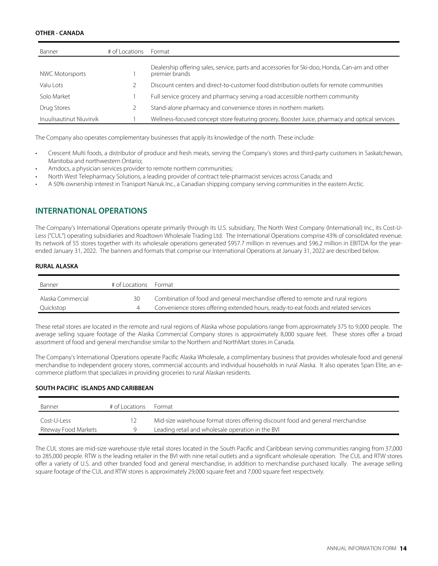#### **OTHER - CANADA**

| Banner                   | # of Locations | Format                                                                                                           |
|--------------------------|----------------|------------------------------------------------------------------------------------------------------------------|
| <b>NWC Motorsports</b>   |                | Dealership offering sales, service, parts and accessories for Ski-doo, Honda, Can-am and other<br>premier brands |
| Valu Lots                |                | Discount centers and direct-to-customer food distribution outlets for remote communities                         |
| Solo Market              |                | Full service grocery and pharmacy serving a road accessible northern community                                   |
| Drug Stores              |                | Stand-alone pharmacy and convenience stores in northern markets                                                  |
| Inuulisautinut Niuvirvik |                | Wellness-focused concept store featuring grocery, Booster Juice, pharmacy and optical services                   |

The Company also operates complementary businesses that apply its knowledge of the north. These include:

- Crescent Multi foods, a distributor of produce and fresh meats, serving the Company's stores and third-party customers in Saskatchewan, Manitoba and northwestern Ontario;
- Amdocs, a physician services provider to remote northern communities;
- North West Telepharmacy Solutions, a leading provider of contract tele-pharmacist services across Canada; and
- A 50% ownership interest in Transport Nanuk Inc., a Canadian shipping company serving communities in the eastern Arctic.

### **INTERNATIONAL OPERATIONS**

The Company's International Operations operate primarily through its U.S. subsidiary, The North West Company (International) Inc., its Cost-U-Less ("CUL") operating subsidiaries and Roadtown Wholesale Trading Ltd. The International Operations comprise 43% of consolidated revenue. Its network of 55 stores together with its wholesale operations generated \$957.7 million in revenues and \$96.2 million in EBITDA for the yearended January 31, 2022. The banners and formats that comprise our International Operations at January 31, 2022 are described below.

#### **RURAL ALASKA**

| Banner            | # of Locations | Format                                                                              |
|-------------------|----------------|-------------------------------------------------------------------------------------|
| Alaska Commercial | 30             | Combination of food and general merchandise offered to remote and rural regions     |
| Quickstop         |                | Convenience stores offering extended hours, ready-to-eat foods and related services |

These retail stores are located in the remote and rural regions of Alaska whose populations range from approximately 375 to 9,000 people. The average selling square footage of the Alaska Commercial Company stores is approximately 8,000 square feet. These stores offer a broad assortment of food and general merchandise similar to the Northern and NorthMart stores in Canada.

The Company's International Operations operate Pacific Alaska Wholesale, a complimentary business that provides wholesale food and general merchandise to independent grocery stores, commercial accounts and individual households in rural Alaska. It also operates Span Elite, an ecommerce platform that specializes in providing groceries to rural Alaskan residents.

#### **SOUTH PACIFIC ISLANDS AND CARIBBEAN**

| Banner               | # of Locations | Format                                                                          |
|----------------------|----------------|---------------------------------------------------------------------------------|
| Cost-U-Less          |                | Mid-size warehouse format stores offering discount food and general merchandise |
| Riteway Food Markets |                | Leading retail and wholesale operation in the BVI                               |

The CUL stores are mid-size warehouse style retail stores located in the South Pacific and Caribbean serving communities ranging from 37,000 to 285,000 people. RTW is the leading retailer in the BVI with nine retail outlets and a significant wholesale operation. The CUL and RTW stores offer a variety of U.S. and other branded food and general merchandise, in addition to merchandise purchased locally. The average selling square footage of the CUL and RTW stores is approximately 29,000 square feet and 7,000 square feet respectively.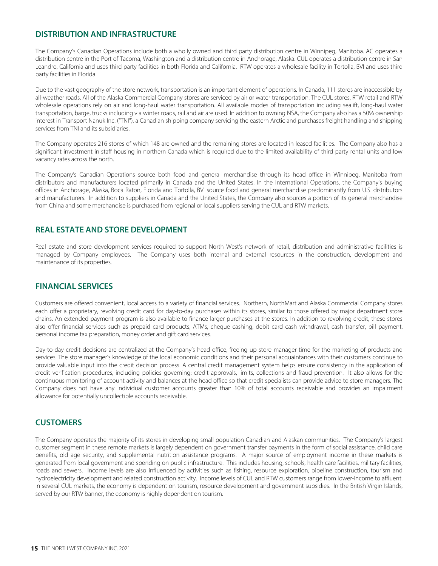### **DISTRIBUTION AND INFRASTRUCTURE**

The Company's Canadian Operations include both a wholly owned and third party distribution centre in Winnipeg, Manitoba. AC operates a distribution centre in the Port of Tacoma, Washington and a distribution centre in Anchorage, Alaska. CUL operates a distribution centre in San Leandro, California and uses third party facilities in both Florida and California. RTW operates a wholesale facility in Tortolla, BVI and uses third party facilities in Florida.

Due to the vast geography of the store network, transportation is an important element of operations. In Canada, 111 stores are inaccessible by all-weather roads. All of the Alaska Commercial Company stores are serviced by air or water transportation. The CUL stores, RTW retail and RTW wholesale operations rely on air and long-haul water transportation. All available modes of transportation including sealift, long-haul water transportation, barge, trucks including via winter roads, rail and air are used. In addition to owning NSA, the Company also has a 50% ownership interest in Transport Nanuk Inc. ("TNI"), a Canadian shipping company servicing the eastern Arctic and purchases freight handling and shipping services from TNI and its subsidiaries.

The Company operates 216 stores of which 148 are owned and the remaining stores are located in leased facilities. The Company also has a significant investment in staff housing in northern Canada which is required due to the limited availability of third party rental units and low vacancy rates across the north.

The Company's Canadian Operations source both food and general merchandise through its head office in Winnipeg, Manitoba from distributors and manufacturers located primarily in Canada and the United States. In the International Operations, the Company's buying offices in Anchorage, Alaska, Boca Raton, Florida and Tortolla, BVI source food and general merchandise predominantly from U.S. distributors and manufacturers. In addition to suppliers in Canada and the United States, the Company also sources a portion of its general merchandise from China and some merchandise is purchased from regional or local suppliers serving the CUL and RTW markets.

#### **REAL ESTATE AND STORE DEVELOPMENT**

Real estate and store development services required to support North West's network of retail, distribution and administrative facilities is managed by Company employees. The Company uses both internal and external resources in the construction, development and maintenance of its properties.

### **FINANCIAL SERVICES**

Customers are offered convenient, local access to a variety of financial services. Northern, NorthMart and Alaska Commercial Company stores each offer a proprietary, revolving credit card for day-to-day purchases within its stores, similar to those offered by major department store chains. An extended payment program is also available to finance larger purchases at the stores. In addition to revolving credit, these stores also offer financial services such as prepaid card products, ATMs, cheque cashing, debit card cash withdrawal, cash transfer, bill payment, personal income tax preparation, money order and gift card services.

Day-to-day credit decisions are centralized at the Company's head office, freeing up store manager time for the marketing of products and services. The store manager's knowledge of the local economic conditions and their personal acquaintances with their customers continue to provide valuable input into the credit decision process. A central credit management system helps ensure consistency in the application of credit verification procedures, including policies governing: credit approvals, limits, collections and fraud prevention. It also allows for the continuous monitoring of account activity and balances at the head office so that credit specialists can provide advice to store managers. The Company does not have any individual customer accounts greater than 10% of total accounts receivable and provides an impairment allowance for potentially uncollectible accounts receivable.

#### **CUSTOMERS**

The Company operates the majority of its stores in developing small population Canadian and Alaskan communities. The Company's largest customer segment in these remote markets is largely dependent on government transfer payments in the form of social assistance, child care benefits, old age security, and supplemental nutrition assistance programs. A major source of employment income in these markets is generated from local government and spending on public infrastructure. This includes housing, schools, health care facilities, military facilities, roads and sewers. Income levels are also influenced by activities such as fishing, resource exploration, pipeline construction, tourism and hydroelectricity development and related construction activity. Income levels of CUL and RTW customers range from lower-income to affluent. In several CUL markets, the economy is dependent on tourism, resource development and government subsidies. In the British Virgin Islands, served by our RTW banner, the economy is highly dependent on tourism.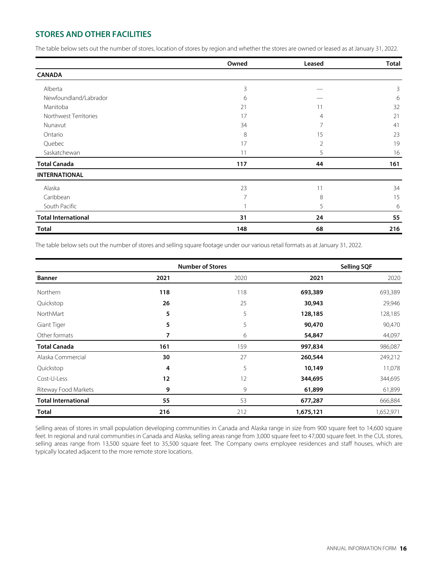## **STORES AND OTHER FACILITIES**

The table below sets out the number of stores, location of stores by region and whether the stores are owned or leased as at January 31, 2022.

|                            | Owned | Leased         | <b>Total</b> |
|----------------------------|-------|----------------|--------------|
| <b>CANADA</b>              |       |                |              |
| Alberta                    | 3     |                | 3            |
| Newfoundland/Labrador      | 6     |                | 6            |
| Manitoba                   | 21    |                | 32           |
| Northwest Territories      | 17    | 4              | 21           |
| Nunavut                    | 34    | 7              | 41           |
| Ontario                    | 8     | 15             | 23           |
| Quebec                     | 17    | $\overline{2}$ | 19           |
| Saskatchewan               | 11    | 5              | 16           |
| <b>Total Canada</b>        | 117   | 44             | 161          |
| <b>INTERNATIONAL</b>       |       |                |              |
| Alaska                     | 23    | 11             | 34           |
| Caribbean                  | 7     | 8              | 15           |
| South Pacific              |       | 5              | 6            |
| <b>Total International</b> | 31    | 24             | 55           |
| <b>Total</b>               | 148   | 68             | 216          |

The table below sets out the number of stores and selling square footage under our various retail formats as at January 31, 2022.

|                            |      | <b>Number of Stores</b> |           | <b>Selling SQF</b> |
|----------------------------|------|-------------------------|-----------|--------------------|
| <b>Banner</b>              | 2021 | 2020                    | 2021      | 2020               |
| Northern                   | 118  | 118                     | 693,389   | 693,389            |
| Quickstop                  | 26   | 25                      | 30,943    | 29,946             |
| NorthMart                  | 5    | 5                       | 128,185   | 128,185            |
| Giant Tiger                | 5    | 5                       | 90,470    | 90,470             |
| Other formats              | 7    | 6                       | 54,847    | 44,097             |
| <b>Total Canada</b>        | 161  | 159                     | 997,834   | 986,087            |
| Alaska Commercial          | 30   | 27                      | 260,544   | 249,212            |
| Quickstop                  | 4    | 5                       | 10,149    | 11,078             |
| Cost-U-Less                | 12   | 12                      | 344,695   | 344,695            |
| Riteway Food Markets       | 9    | 9                       | 61,899    | 61,899             |
| <b>Total International</b> | 55   | 53                      | 677,287   | 666,884            |
| <b>Total</b>               | 216  | 212                     | 1,675,121 | 1,652,971          |

Selling areas of stores in small population developing communities in Canada and Alaska range in size from 900 square feet to 14,600 square feet. In regional and rural communities in Canada and Alaska, selling areas range from 3,000 square feet to 47,000 square feet. In the CUL stores, selling areas range from 13,500 square feet to 35,500 square feet. The Company owns employee residences and staff houses, which are typically located adjacent to the more remote store locations.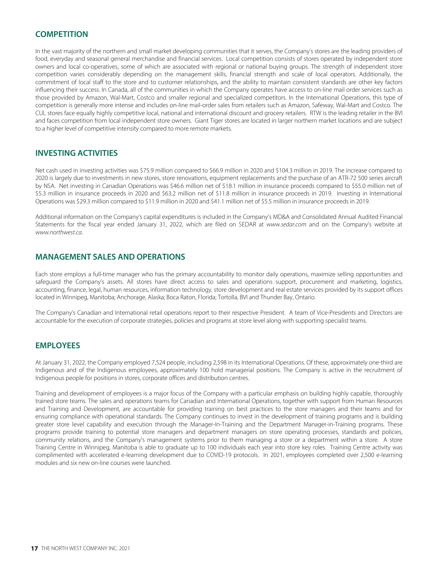### **COMPETITION**

In the vast majority of the northern and small market developing communities that it serves, the Company's stores are the leading providers of food, everyday and seasonal general merchandise and financial services. Local competition consists of stores operated by independent store owners and local co-operatives, some of which are associated with regional or national buying groups. The strength of independent store competition varies considerably depending on the management skills, financial strength and scale of local operators. Additionally, the commitment of local staff to the store and to customer relationships, and the ability to maintain consistent standards are other key factors influencing their success. In Canada, all of the communities in which the Company operates have access to on-line mail order services such as those provided by Amazon, Wal-Mart, Costco and smaller regional and specialized competitors. In the International Operations, this type of competition is generally more intense and includes on-line mail-order sales from retailers such as Amazon, Safeway, Wal-Mart and Costco. The CUL stores face equally highly competitive local, national and international discount and grocery retailers. RTW is the leading retailer in the BVI and faces competition from local independent store owners. Giant Tiger stores are located in larger northern market locations and are subject to a higher level of competitive intensity compared to more remote markets.

### **INVESTING ACTIVITIES**

Net cash used in investing activities was \$75.9 million compared to \$66.9 million in 2020 and \$104.3 million in 2019. The increase compared to 2020 is largely due to investments in new stores, store renovations, equipment replacements and the purchase of an ATR-72 500 series aircraft by NSA. Net investing in Canadian Operations was \$46.6 million net of \$18.1 million in insurance proceeds compared to \$55.0 million net of \$5.3 million in insurance proceeds in 2020 and \$63.2 million net of \$11.8 million in insurance proceeds in 2019. Investing in International Operations was \$29.3 million compared to \$11.9 million in 2020 and \$41.1 million net of \$5.5 million in insurance proceeds in 2019.

Additional information on the Company's capital expenditures is included in the Company's MD&A and Consolidated Annual Audited Financial Statements for the fiscal year ended January 31, 2022, which are filed on SEDAR at www.sedar.com and on the Company's website at [www.northwest.ca](http://www.northwest.ca).

### **MANAGEMENT SALES AND OPERATIONS**

Each store employs a full-time manager who has the primary accountability to monitor daily operations, maximize selling opportunities and safeguard the Company's assets. All stores have direct access to sales and operations support, procurement and marketing, logistics, accounting, finance, legal, human resources, information technology, store development and real estate services provided by its support offices located in Winnipeg, Manitoba; Anchorage, Alaska; Boca Raton, Florida; Tortolla, BVI and Thunder Bay, Ontario.

The Company's Canadian and International retail operations report to their respective President. A team of Vice-Presidents and Directors are accountable for the execution of corporate strategies, policies and programs at store level along with supporting specialist teams.

### **EMPLOYEES**

At January 31, 2022, the Company employed 7,524 people, including 2,598 in its International Operations. Of these, approximately one-third are Indigenous and of the Indigenous employees, approximately 100 hold managerial positions. The Company is active in the recruitment of Indigenous people for positions in stores, corporate offices and distribution centres.

Training and development of employees is a major focus of the Company with a particular emphasis on building highly capable, thoroughly trained store teams. The sales and operations teams for Canadian and International Operations, together with support from Human Resources and Training and Development, are accountable for providing training on best practices to the store managers and their teams and for ensuring compliance with operational standards. The Company continues to invest in the development of training programs and is building greater store level capability and execution through the Manager-In-Training and the Department Manager-in-Training programs. These programs provide training to potential store managers and department managers on store operating processes, standards and policies, community relations, and the Company's management systems prior to them managing a store or a department within a store. A store Training Centre in Winnipeg, Manitoba is able to graduate up to 100 individuals each year into store key roles. Training Centre activity was complimented with accelerated e-learning development due to COVID-19 protocols. In 2021, employees completed over 2,500 e-learning modules and six new on-line courses were launched.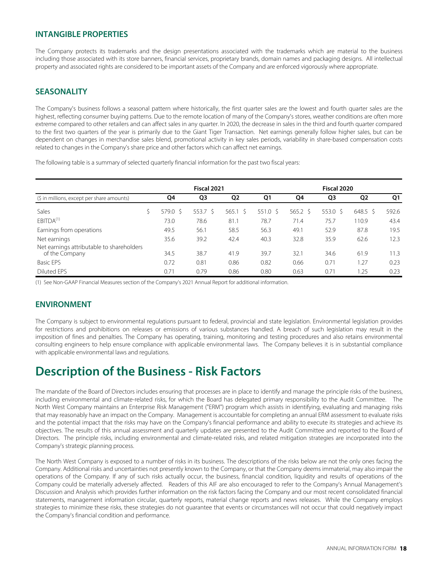### **INTANGIBLE PROPERTIES**

The Company protects its trademarks and the design presentations associated with the trademarks which are material to the business including those associated with its store banners, financial services, proprietary brands, domain names and packaging designs. All intellectual property and associated rights are considered to be important assets of the Company and are enforced vigorously where appropriate.

#### **SEASONALITY**

The Company's business follows a seasonal pattern where historically, the first quarter sales are the lowest and fourth quarter sales are the highest, reflecting consumer buying patterns. Due to the remote location of many of the Company's stores, weather conditions are often more extreme compared to other retailers and can affect sales in any quarter. In 2020, the decrease in sales in the third and fourth quarter compared to the first two quarters of the year is primarily due to the Giant Tiger Transaction. Net earnings generally follow higher sales, but can be dependent on changes in merchandise sales blend, promotional activity in key sales periods, variability in share-based compensation costs related to changes in the Company's share price and other factors which can affect net earnings.

The following table is a summary of selected quarterly financial information for the past two fiscal years:

|                                                             |             | Fiscal 2021        |                  |                   |            | Fiscal 2020    |                  |       |
|-------------------------------------------------------------|-------------|--------------------|------------------|-------------------|------------|----------------|------------------|-------|
| (\$ in millions, except per share amounts)                  | Q4          | Q3                 | Q <sub>2</sub>   | Q1                | Q4         | Q <sub>3</sub> | Q <sub>2</sub>   | Q1    |
| Sales                                                       | 579.0<br>-S | 553.7 <sup>5</sup> | $565.1 \text{ }$ | $551.0 \text{ S}$ | $565.2$ \$ | 553.0 S        | $648.5 \text{ }$ | 592.6 |
| EBITDA <sup>(1)</sup>                                       | 73.0        | 78.6               | 81.1             | 78.7              | 71.4       | 75.7           | 110.9            | 43.4  |
| Earnings from operations                                    | 49.5        | 56.1               | 58.5             | 56.3              | 49.1       | 52.9           | 87.8             | 19.5  |
| Net earnings                                                | 35.6        | 39.2               | 42.4             | 40.3              | 32.8       | 35.9           | 62.6             | 12.3  |
| Net earnings attributable to shareholders<br>of the Company | 34.5        | 38.7               | 41.9             | 39.7              | 32.1       | 34.6           | 61.9             | 11.3  |
| <b>Basic EPS</b>                                            | 0.72        | 0.81               | 0.86             | 0.82              | 0.66       | 0.71           | 1.27             | 0.23  |
| Diluted EPS                                                 | 0.71        | 0.79               | 0.86             | 0.80              | 0.63       | 0.71           | .25              | 0.23  |

(1) See Non-GAAP Financial Measures section of the Company's 2021 Annual Report for additional information.

### **ENVIRONMENT**

The Company is subject to environmental regulations pursuant to federal, provincial and state legislation. Environmental legislation provides for restrictions and prohibitions on releases or emissions of various substances handled. A breach of such legislation may result in the imposition of fines and penalties. The Company has operating, training, monitoring and testing procedures and also retains environmental consulting engineers to help ensure compliance with applicable environmental laws. The Company believes it is in substantial compliance with applicable environmental laws and regulations.

## **Description of the Business - Risk Factors**

The mandate of the Board of Directors includes ensuring that processes are in place to identify and manage the principle risks of the business, including environmental and climate-related risks, for which the Board has delegated primary responsibility to the Audit Committee. The North West Company maintains an Enterprise Risk Management ("ERM") program which assists in identifying, evaluating and managing risks that may reasonably have an impact on the Company. Management is accountable for completing an annual ERM assessment to evaluate risks and the potential impact that the risks may have on the Company's financial performance and ability to execute its strategies and achieve its objectives. The results of this annual assessment and quarterly updates are presented to the Audit Committee and reported to the Board of Directors. The principle risks, including environmental and climate-related risks, and related mitigation strategies are incorporated into the Company's strategic planning process.

The North West Company is exposed to a number of risks in its business. The descriptions of the risks below are not the only ones facing the Company. Additional risks and uncertainties not presently known to the Company, or that the Company deems immaterial, may also impair the operations of the Company. If any of such risks actually occur, the business, financial condition, liquidity and results of operations of the Company could be materially adversely affected. Readers of this AIF are also encouraged to refer to the Company's Annual Management's Discussion and Analysis which provides further information on the risk factors facing the Company and our most recent consolidated financial statements, management information circular, quarterly reports, material change reports and news releases. While the Company employs strategies to minimize these risks, these strategies do not guarantee that events or circumstances will not occur that could negatively impact the Company's financial condition and performance.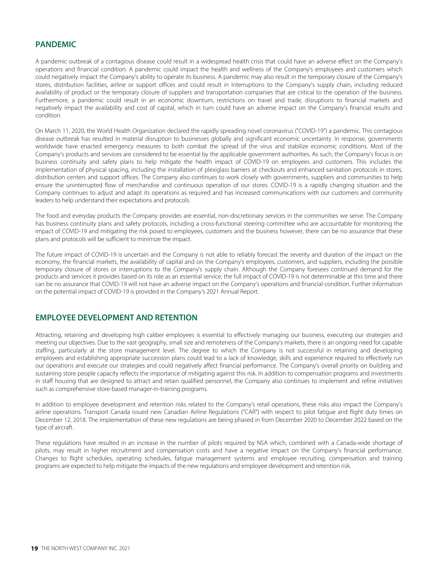### **PANDEMIC**

A pandemic outbreak of a contagious disease could result in a widespread health crisis that could have an adverse effect on the Company's operations and financial condition. A pandemic could impact the health and wellness of the Company's employees and customers which could negatively impact the Company's ability to operate its business. A pandemic may also result in the temporary closure of the Company's stores, distribution facilities, airline or support offices and could result in interruptions to the Company's supply chain, including reduced availability of product or the temporary closure of suppliers and transportation companies that are critical to the operation of the business. Furthermore, a pandemic could result in an economic downturn, restrictions on travel and trade, disruptions to financial markets and negatively impact the availability and cost of capital, which in turn could have an adverse impact on the Company's financial results and condition.

On March 11, 2020, the World Health Organization declared the rapidly spreading novel coronavirus ("COVID-19") a pandemic. This contagious disease outbreak has resulted in material disruption to businesses globally and significant economic uncertainty. In response, governments worldwide have enacted emergency measures to both combat the spread of the virus and stabilize economic conditions. Most of the Company's products and services are considered to be essential by the applicable government authorities. As such, the Company's focus is on business continuity and safety plans to help mitigate the health impact of COVID-19 on employees and customers. This includes the implementation of physical spacing, including the installation of plexiglass barriers at checkouts and enhanced sanitation protocols in stores, distribution centers and support offices. The Company also continues to work closely with governments, suppliers and communities to help ensure the uninterrupted flow of merchandise and continuous operation of our stores. COVID-19 is a rapidly changing situation and the Company continues to adjust and adapt its operations as required and has increased communications with our customers and community leaders to help understand their expectations and protocols.

The food and everyday products the Company provides are essential, non-discretionary services in the communities we serve. The Company has business continuity plans and safety protocols, including a cross-functional steering committee who are accountable for monitoring the impact of COVID-19 and mitigating the risk posed to employees, customers and the business however, there can be no assurance that these plans and protocols will be sufficient to minimize the impact.

The future impact of COVID-19 is uncertain and the Company is not able to reliably forecast the severity and duration of the impact on the economy, the financial markets, the availability of capital and on the Company's employees, customers, and suppliers, including the possible temporary closure of stores or interruptions to the Company's supply chain. Although the Company foresees continued demand for the products and services it provides based on its role as an essential service, the full impact of COVID-19 is not determinable at this time and there can be no assurance that COVID-19 will not have an adverse impact on the Company's operations and financial condition. Further information on the potential impact of COVID-19 is provided in the Company's 2021 Annual Report.

#### **EMPLOYEE DEVELOPMENT AND RETENTION**

Attracting, retaining and developing high caliber employees is essential to effectively managing our business, executing our strategies and meeting our objectives. Due to the vast geography, small size and remoteness of the Company's markets, there is an ongoing need for capable staffing, particularly at the store management level. The degree to which the Company is not successful in retaining and developing employees and establishing appropriate succession plans could lead to a lack of knowledge, skills and experience required to effectively run our operations and execute our strategies and could negatively affect financial performance. The Company's overall priority on building and sustaining store people capacity reflects the importance of mitigating against this risk. In addition to compensation programs and investments in staff housing that are designed to attract and retain qualified personnel, the Company also continues to implement and refine initiatives such as comprehensive store-based manager-in-training programs.

In addition to employee development and retention risks related to the Company's retail operations, these risks also impact the Company's airline operations. Transport Canada issued new Canadian Airline Regulations ("CAR") with respect to pilot fatigue and flight duty times on December 12, 2018. The implementation of these new regulations are being phased in from December 2020 to December 2022 based on the type of aircraft.

These regulations have resulted in an increase in the number of pilots required by NSA which, combined with a Canada-wide shortage of pilots, may result in higher recruitment and compensation costs and have a negative impact on the Company's financial performance. Changes to flight schedules, operating schedules, fatigue management systems and employee recruiting, compensation and training programs are expected to help mitigate the impacts of the new regulations and employee development and retention risk.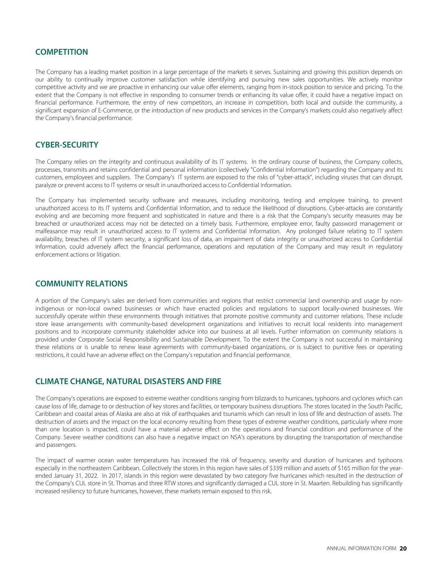#### **COMPETITION**

The Company has a leading market position in a large percentage of the markets it serves. Sustaining and growing this position depends on our ability to continually improve customer satisfaction while identifying and pursuing new sales opportunities. We actively monitor competitive activity and we are proactive in enhancing our value offer elements, ranging from in-stock position to service and pricing. To the extent that the Company is not effective in responding to consumer trends or enhancing its value offer, it could have a negative impact on financial performance. Furthermore, the entry of new competitors, an increase in competition, both local and outside the community, a significant expansion of E-Commerce, or the introduction of new products and services in the Company's markets could also negatively affect the Company's financial performance.

#### **CYBER-SECURITY**

The Company relies on the integrity and continuous availability of its IT systems. In the ordinary course of business, the Company collects, processes, transmits and retains confidential and personal information (collectively "Confidential Information") regarding the Company and its customers, employees and suppliers. The Company's IT systems are exposed to the risks of "cyber-attack", including viruses that can disrupt, paralyze or prevent access to IT systems or result in unauthorized access to Confidential Information.

The Company has implemented security software and measures, including monitoring, testing and employee training, to prevent unauthorized access to its IT systems and Confidential Information, and to reduce the likelihood of disruptions. Cyber-attacks are constantly evolving and are becoming more frequent and sophisticated in nature and there is a risk that the Company's security measures may be breached or unauthorized access may not be detected on a timely basis. Furthermore, employee error, faulty password management or malfeasance may result in unauthorized access to IT systems and Confidential Information. Any prolonged failure relating to IT system availability, breaches of IT system security, a significant loss of data, an impairment of data integrity or unauthorized access to Confidential Information, could adversely affect the financial performance, operations and reputation of the Company and may result in regulatory enforcement actions or litigation.

#### **COMMUNITY RELATIONS**

A portion of the Company's sales are derived from communities and regions that restrict commercial land ownership and usage by nonindigenous or non-local owned businesses or which have enacted policies and regulations to support locally-owned businesses. We successfully operate within these environments through initiatives that promote positive community and customer relations. These include store lease arrangements with community-based development organizations and initiatives to recruit local residents into management positions and to incorporate community stakeholder advice into our business at all levels. Further information on community relations is provided under Corporate Social Responsibility and Sustainable Development. To the extent the Company is not successful in maintaining these relations or is unable to renew lease agreements with community-based organizations, or is subject to punitive fees or operating restrictions, it could have an adverse effect on the Company's reputation and financial performance.

#### **CLIMATE CHANGE, NATURAL DISASTERS AND FIRE**

The Company's operations are exposed to extreme weather conditions ranging from blizzards to hurricanes, typhoons and cyclones which can cause loss of life, damage to or destruction of key stores and facilities, or temporary business disruptions. The stores located in the South Pacific, Caribbean and coastal areas of Alaska are also at risk of earthquakes and tsunamis which can result in loss of life and destruction of assets. The destruction of assets and the impact on the local economy resulting from these types of extreme weather conditions, particularly where more than one location is impacted, could have a material adverse effect on the operations and financial condition and performance of the Company. Severe weather conditions can also have a negative impact on NSA's operations by disrupting the transportation of merchandise and passengers.

The impact of warmer ocean water temperatures has increased the risk of frequency, severity and duration of hurricanes and typhoons especially in the northeastern Caribbean. Collectively the stores in this region have sales of \$339 million and assets of \$165 million for the yearended January 31, 2022. In 2017, islands in this region were devastated by two category five hurricanes which resulted in the destruction of the Company's CUL store in St. Thomas and three RTW stores and significantly damaged a CUL store in St. Maarten. Rebuilding has significantly increased resiliency to future hurricanes, however, these markets remain exposed to this risk.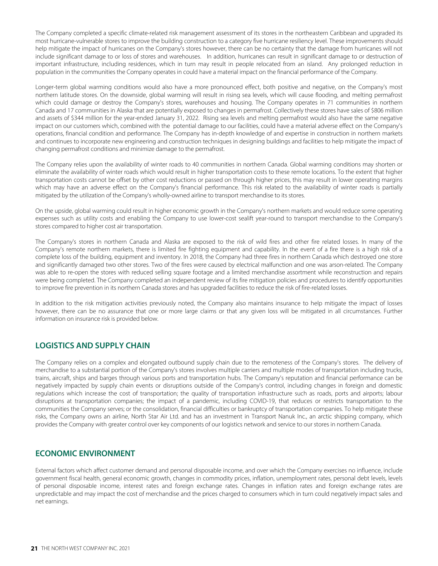The Company completed a specific climate-related risk management assessment of its stores in the northeastern Caribbean and upgraded its most hurricane-vulnerable stores to improve the building construction to a category five hurricane resiliency level. These improvements should help mitigate the impact of hurricanes on the Company's stores however, there can be no certainty that the damage from hurricanes will not include significant damage to or loss of stores and warehouses. In addition, hurricanes can result in significant damage to or destruction of important infrastructure, including residences, which in turn may result in people relocated from an island. Any prolonged reduction in population in the communities the Company operates in could have a material impact on the financial performance of the Company.

Longer-term global warming conditions would also have a more pronounced effect, both positive and negative, on the Company's most northern latitude stores. On the downside, global warming will result in rising sea levels, which will cause flooding, and melting permafrost which could damage or destroy the Company's stores, warehouses and housing. The Company operates in 71 communities in northern Canada and 17 communities in Alaska that are potentially exposed to changes in permafrost. Collectively these stores have sales of \$806 million and assets of \$344 million for the year-ended January 31, 2022. Rising sea levels and melting permafrost would also have the same negative impact on our customers which, combined with the potential damage to our facilities, could have a material adverse effect on the Company's operations, financial condition and performance. The Company has in-depth knowledge of and expertise in construction in northern markets and continues to incorporate new engineering and construction techniques in designing buildings and facilities to help mitigate the impact of changing permafrost conditions and minimize damage to the permafrost.

The Company relies upon the availability of winter roads to 40 communities in northern Canada. Global warming conditions may shorten or eliminate the availability of winter roads which would result in higher transportation costs to these remote locations. To the extent that higher transportation costs cannot be offset by other cost reductions or passed on through higher prices, this may result in lower operating margins which may have an adverse effect on the Company's financial performance. This risk related to the availability of winter roads is partially mitigated by the utilization of the Company's wholly-owned airline to transport merchandise to its stores.

On the upside, global warming could result in higher economic growth in the Company's northern markets and would reduce some operating expenses such as utility costs and enabling the Company to use lower-cost sealift year-round to transport merchandise to the Company's stores compared to higher cost air transportation.

The Company's stores in northern Canada and Alaska are exposed to the risk of wild fires and other fire related losses. In many of the Company's remote northern markets, there is limited fire fighting equipment and capability. In the event of a fire there is a high risk of a complete loss of the building, equipment and inventory. In 2018, the Company had three fires in northern Canada which destroyed one store and significantly damaged two other stores. Two of the fires were caused by electrical malfunction and one was arson-related. The Company was able to re-open the stores with reduced selling square footage and a limited merchandise assortment while reconstruction and repairs were being completed. The Company completed an independent review of its fire mitigation policies and procedures to identify opportunities to improve fire prevention in its northern Canada stores and has upgraded facilities to reduce the risk of fire-related losses.

In addition to the risk mitigation activities previously noted, the Company also maintains insurance to help mitigate the impact of losses however, there can be no assurance that one or more large claims or that any given loss will be mitigated in all circumstances. Further information on insurance risk is provided below.

### **LOGISTICS AND SUPPLY CHAIN**

The Company relies on a complex and elongated outbound supply chain due to the remoteness of the Company's stores. The delivery of merchandise to a substantial portion of the Company's stores involves multiple carriers and multiple modes of transportation including trucks, trains, aircraft, ships and barges through various ports and transportation hubs. The Company's reputation and financial performance can be negatively impacted by supply chain events or disruptions outside of the Company's control, including changes in foreign and domestic regulations which increase the cost of transportation; the quality of transportation infrastructure such as roads, ports and airports; labour disruptions at transportation companies; the impact of a pandemic, including COVID-19, that reduces or restricts transportation to the communities the Company serves; or the consolidation, financial difficulties or bankruptcy of transportation companies. To help mitigate these risks, the Company owns an airline, North Star Air Ltd. and has an investment in Transport Nanuk Inc., an arctic shipping company, which provides the Company with greater control over key components of our logistics network and service to our stores in northern Canada.

#### **ECONOMIC ENVIRONMENT**

External factors which affect customer demand and personal disposable income, and over which the Company exercises no influence, include government fiscal health, general economic growth, changes in commodity prices, inflation, unemployment rates, personal debt levels, levels of personal disposable income, interest rates and foreign exchange rates. Changes in inflation rates and foreign exchange rates are unpredictable and may impact the cost of merchandise and the prices charged to consumers which in turn could negatively impact sales and net earnings.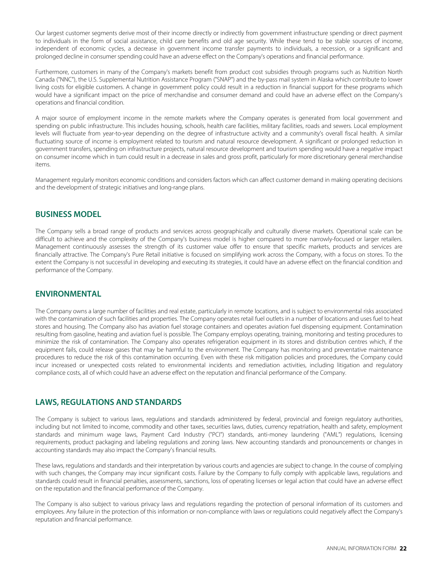Our largest customer segments derive most of their income directly or indirectly from government infrastructure spending or direct payment to individuals in the form of social assistance, child care benefits and old age security. While these tend to be stable sources of income, independent of economic cycles, a decrease in government income transfer payments to individuals, a recession, or a significant and prolonged decline in consumer spending could have an adverse effect on the Company's operations and financial performance.

Furthermore, customers in many of the Company's markets benefit from product cost subsidies through programs such as Nutrition North Canada ("NNC"), the U.S. Supplemental Nutrition Assistance Program ("SNAP") and the by-pass mail system in Alaska which contribute to lower living costs for eligible customers. A change in government policy could result in a reduction in financial support for these programs which would have a significant impact on the price of merchandise and consumer demand and could have an adverse effect on the Company's operations and financial condition.

A major source of employment income in the remote markets where the Company operates is generated from local government and spending on public infrastructure. This includes housing, schools, health care facilities, military facilities, roads and sewers. Local employment levels will fluctuate from year-to-year depending on the degree of infrastructure activity and a community's overall fiscal health. A similar fluctuating source of income is employment related to tourism and natural resource development. A significant or prolonged reduction in government transfers, spending on infrastructure projects, natural resource development and tourism spending would have a negative impact on consumer income which in turn could result in a decrease in sales and gross profit, particularly for more discretionary general merchandise items.

Management regularly monitors economic conditions and considers factors which can affect customer demand in making operating decisions and the development of strategic initiatives and long-range plans.

#### **BUSINESS MODEL**

The Company sells a broad range of products and services across geographically and culturally diverse markets. Operational scale can be difficult to achieve and the complexity of the Company's business model is higher compared to more narrowly-focused or larger retailers. Management continuously assesses the strength of its customer value offer to ensure that specific markets, products and services are financially attractive. The Company's Pure Retail initiative is focused on simplifying work across the Company, with a focus on stores. To the extent the Company is not successful in developing and executing its strategies, it could have an adverse effect on the financial condition and performance of the Company.

### **ENVIRONMENTAL**

The Company owns a large number of facilities and real estate, particularly in remote locations, and is subject to environmental risks associated with the contamination of such facilities and properties. The Company operates retail fuel outlets in a number of locations and uses fuel to heat stores and housing. The Company also has aviation fuel storage containers and operates aviation fuel dispensing equipment. Contamination resulting from gasoline, heating and aviation fuel is possible. The Company employs operating, training, monitoring and testing procedures to minimize the risk of contamination. The Company also operates refrigeration equipment in its stores and distribution centres which, if the equipment fails, could release gases that may be harmful to the environment. The Company has monitoring and preventative maintenance procedures to reduce the risk of this contamination occurring. Even with these risk mitigation policies and procedures, the Company could incur increased or unexpected costs related to environmental incidents and remediation activities, including litigation and regulatory compliance costs, all of which could have an adverse effect on the reputation and financial performance of the Company.

### **LAWS, REGULATIONS AND STANDARDS**

The Company is subject to various laws, regulations and standards administered by federal, provincial and foreign regulatory authorities, including but not limited to income, commodity and other taxes, securities laws, duties, currency repatriation, health and safety, employment standards and minimum wage laws, Payment Card Industry ("PCI") standards, anti-money laundering ("AML") regulations, licensing requirements, product packaging and labeling regulations and zoning laws. New accounting standards and pronouncements or changes in accounting standards may also impact the Company's financial results.

These laws, regulations and standards and their interpretation by various courts and agencies are subject to change. In the course of complying with such changes, the Company may incur significant costs. Failure by the Company to fully comply with applicable laws, regulations and standards could result in financial penalties, assessments, sanctions, loss of operating licenses or legal action that could have an adverse effect on the reputation and the financial performance of the Company.

The Company is also subject to various privacy laws and regulations regarding the protection of personal information of its customers and employees. Any failure in the protection of this information or non-compliance with laws or regulations could negatively affect the Company's reputation and financial performance.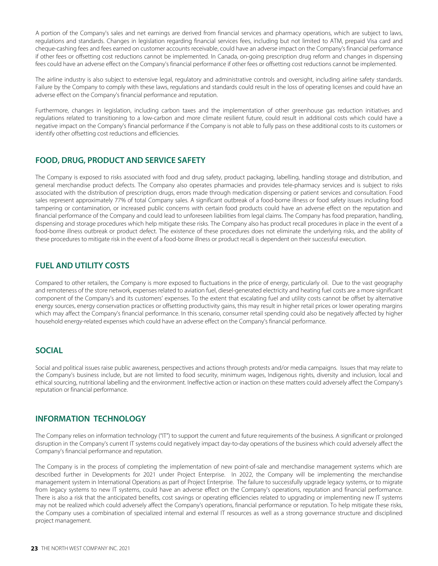A portion of the Company's sales and net earnings are derived from financial services and pharmacy operations, which are subject to laws, regulations and standards. Changes in legislation regarding financial services fees, including but not limited to ATM, prepaid Visa card and cheque-cashing fees and fees earned on customer accounts receivable, could have an adverse impact on the Company's financial performance if other fees or offsetting cost reductions cannot be implemented. In Canada, on-going prescription drug reform and changes in dispensing fees could have an adverse effect on the Company's financial performance if other fees or offsetting cost reductions cannot be implemented.

The airline industry is also subject to extensive legal, regulatory and administrative controls and oversight, including airline safety standards. Failure by the Company to comply with these laws, regulations and standards could result in the loss of operating licenses and could have an adverse effect on the Company's financial performance and reputation.

Furthermore, changes in legislation, including carbon taxes and the implementation of other greenhouse gas reduction initiatives and regulations related to transitioning to a low-carbon and more climate resilient future, could result in additional costs which could have a negative impact on the Company's financial performance if the Company is not able to fully pass on these additional costs to its customers or identify other offsetting cost reductions and efficiencies.

## **FOOD, DRUG, PRODUCT AND SERVICE SAFETY**

The Company is exposed to risks associated with food and drug safety, product packaging, labelling, handling storage and distribution, and general merchandise product defects. The Company also operates pharmacies and provides tele-pharmacy services and is subject to risks associated with the distribution of prescription drugs, errors made through medication dispensing or patient services and consultation. Food sales represent approximately 77% of total Company sales. A significant outbreak of a food-borne illness or food safety issues including food tampering or contamination, or increased public concerns with certain food products could have an adverse effect on the reputation and financial performance of the Company and could lead to unforeseen liabilities from legal claims. The Company has food preparation, handling, dispensing and storage procedures which help mitigate these risks. The Company also has product recall procedures in place in the event of a food-borne illness outbreak or product defect. The existence of these procedures does not eliminate the underlying risks, and the ability of these procedures to mitigate risk in the event of a food-borne illness or product recall is dependent on their successful execution.

## **FUEL AND UTILITY COSTS**

Compared to other retailers, the Company is more exposed to fluctuations in the price of energy, particularly oil. Due to the vast geography and remoteness of the store network, expenses related to aviation fuel, diesel-generated electricity and heating fuel costs are a more significant component of the Company's and its customers' expenses. To the extent that escalating fuel and utility costs cannot be offset by alternative energy sources, energy conservation practices or offsetting productivity gains, this may result in higher retail prices or lower operating margins which may affect the Company's financial performance. In this scenario, consumer retail spending could also be negatively affected by higher household energy-related expenses which could have an adverse effect on the Company's financial performance.

### **SOCIAL**

Social and political issues raise public awareness, perspectives and actions through protests and/or media campaigns. Issues that may relate to the Company's business include, but are not limited to food security, minimum wages, Indigenous rights, diversity and inclusion, local and ethical sourcing, nutritional labelling and the environment. Ineffective action or inaction on these matters could adversely affect the Company's reputation or financial performance.

## **INFORMATION TECHNOLOGY**

The Company relies on information technology ("IT") to support the current and future requirements of the business. A significant or prolonged disruption in the Company's current IT systems could negatively impact day-to-day operations of the business which could adversely affect the Company's financial performance and reputation.

The Company is in the process of completing the implementation of new point-of-sale and merchandise management systems which are described further in Developments for 2021 under Project Enterprise. In 2022, the Company will be implementing the merchandise management system in International Operations as part of Project Enterprise. The failure to successfully upgrade legacy systems, or to migrate from legacy systems to new IT systems, could have an adverse effect on the Company's operations, reputation and financial performance. There is also a risk that the anticipated benefits, cost savings or operating efficiencies related to upgrading or implementing new IT systems may not be realized which could adversely affect the Company's operations, financial performance or reputation. To help mitigate these risks, the Company uses a combination of specialized internal and external IT resources as well as a strong governance structure and disciplined project management.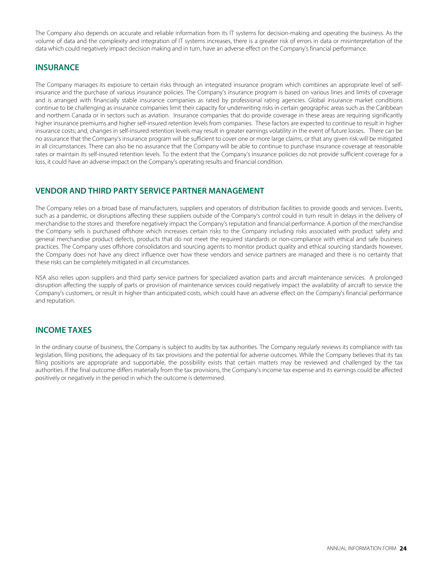The Company also depends on accurate and reliable information from its IT systems for decision-making and operating the business. As the volume of data and the complexity and integration of IT systems increases, there is a greater risk of errors in data or misinterpretation of the data which could negatively impact decision making and in turn, have an adverse effect on the Company's financial performance.

### **INSURANCE**

The Company manages its exposure to certain risks through an integrated insurance program which combines an appropriate level of selfinsurance and the purchase of various insurance policies. The Company's insurance program is based on various lines and limits of coverage and is arranged with financially stable insurance companies as rated by professional rating agencies. Global insurance market conditions continue to be challenging as insurance companies limit their capacity for underwriting risks in certain geographic areas such as the Caribbean and northern Canada or in sectors such as aviation. Insurance companies that do provide coverage in these areas are requiring significantly higher insurance premiums and higher self-insured retention levels from companies. These factors are expected to continue to result in higher insurance costs; and, changes in self-insured retention levels may result in greater earnings volatility in the event of future losses. There can be no assurance that the Company's insurance program will be sufficient to cover one or more large claims, or that any given risk will be mitigated in all circumstances. There can also be no assurance that the Company will be able to continue to purchase insurance coverage at reasonable rates or maintain its self-insured retention levels. To the extent that the Company's insurance policies do not provide sufficient coverage for a loss, it could have an adverse impact on the Company's operating results and financial condition.

## **VENDOR AND THIRD PARTY SERVICE PARTNER MANAGEMENT**

The Company relies on a broad base of manufacturers, suppliers and operators of distribution facilities to provide goods and services. Events, such as a pandemic, or disruptions affecting these suppliers outside of the Company's control could in turn result in delays in the delivery of merchandise to the stores and therefore negatively impact the Company's reputation and financial performance. A portion of the merchandise the Company sells is purchased offshore which increases certain risks to the Company including risks associated with product safety and general merchandise product defects, products that do not meet the required standards or non-compliance with ethical and safe business practices. The Company uses offshore consolidators and sourcing agents to monitor product quality and ethical sourcing standards however, the Company does not have any direct influence over how these vendors and service partners are managed and there is no certainty that these risks can be completely mitigated in all circumstances.

NSA also relies upon suppliers and third party service partners for specialized aviation parts and aircraft maintenance services. A prolonged disruption affecting the supply of parts or provision of maintenance services could negatively impact the availability of aircraft to service the Company's customers, or result in higher than anticipated costs, which could have an adverse effect on the Company's financial performance and reputation.

## **INCOME TAXES**

In the ordinary course of business, the Company is subject to audits by tax authorities. The Company regularly reviews its compliance with tax legislation, filing positions, the adequacy of its tax provisions and the potential for adverse outcomes. While the Company believes that its tax filing positions are appropriate and supportable, the possibility exists that certain matters may be reviewed and challenged by the tax authorities. If the final outcome differs materially from the tax provisions, the Company's income tax expense and its earnings could be affected positively or negatively in the period in which the outcome is determined.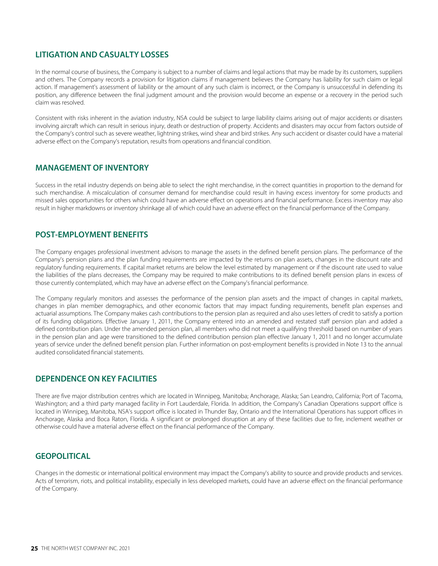## **LITIGATION AND CASUALTY LOSSES**

In the normal course of business, the Company is subject to a number of claims and legal actions that may be made by its customers, suppliers and others. The Company records a provision for litigation claims if management believes the Company has liability for such claim or legal action. If management's assessment of liability or the amount of any such claim is incorrect, or the Company is unsuccessful in defending its position, any difference between the final judgment amount and the provision would become an expense or a recovery in the period such claim was resolved.

Consistent with risks inherent in the aviation industry, NSA could be subject to large liability claims arising out of major accidents or disasters involving aircraft which can result in serious injury, death or destruction of property. Accidents and disasters may occur from factors outside of the Company's control such as severe weather, lightning strikes, wind shear and bird strikes. Any such accident or disaster could have a material adverse effect on the Company's reputation, results from operations and financial condition.

#### **MANAGEMENT OF INVENTORY**

Success in the retail industry depends on being able to select the right merchandise, in the correct quantities in proportion to the demand for such merchandise. A miscalculation of consumer demand for merchandise could result in having excess inventory for some products and missed sales opportunities for others which could have an adverse effect on operations and financial performance. Excess inventory may also result in higher markdowns or inventory shrinkage all of which could have an adverse effect on the financial performance of the Company.

### **POST-EMPLOYMENT BENEFITS**

The Company engages professional investment advisors to manage the assets in the defined benefit pension plans. The performance of the Company's pension plans and the plan funding requirements are impacted by the returns on plan assets, changes in the discount rate and regulatory funding requirements. If capital market returns are below the level estimated by management or if the discount rate used to value the liabilities of the plans decreases, the Company may be required to make contributions to its defined benefit pension plans in excess of those currently contemplated, which may have an adverse effect on the Company's financial performance.

The Company regularly monitors and assesses the performance of the pension plan assets and the impact of changes in capital markets, changes in plan member demographics, and other economic factors that may impact funding requirements, benefit plan expenses and actuarial assumptions. The Company makes cash contributions to the pension plan as required and also uses letters of credit to satisfy a portion of its funding obligations. Effective January 1, 2011, the Company entered into an amended and restated staff pension plan and added a defined contribution plan. Under the amended pension plan, all members who did not meet a qualifying threshold based on number of years in the pension plan and age were transitioned to the defined contribution pension plan effective January 1, 2011 and no longer accumulate years of service under the defined benefit pension plan. Further information on post-employment benefits is provided in Note 13 to the annual audited consolidated financial statements.

### **DEPENDENCE ON KEY FACILITIES**

There are five major distribution centres which are located in Winnipeg, Manitoba; Anchorage, Alaska; San Leandro, California; Port of Tacoma, Washington; and a third party managed facility in Fort Lauderdale, Florida. In addition, the Company's Canadian Operations support office is located in Winnipeg, Manitoba, NSA's support office is located in Thunder Bay, Ontario and the International Operations has support offices in Anchorage, Alaska and Boca Raton, Florida. A significant or prolonged disruption at any of these facilities due to fire, inclement weather or otherwise could have a material adverse effect on the financial performance of the Company.

### **GEOPOLITICAL**

Changes in the domestic or international political environment may impact the Company's ability to source and provide products and services. Acts of terrorism, riots, and political instability, especially in less developed markets, could have an adverse effect on the financial performance of the Company.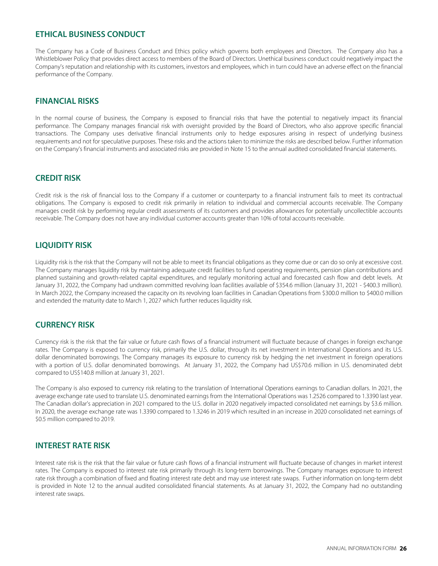### **ETHICAL BUSINESS CONDUCT**

The Company has a Code of Business Conduct and Ethics policy which governs both employees and Directors. The Company also has a Whistleblower Policy that provides direct access to members of the Board of Directors. Unethical business conduct could negatively impact the Company's reputation and relationship with its customers, investors and employees, which in turn could have an adverse effect on the financial performance of the Company.

#### **FINANCIAL RISKS**

In the normal course of business, the Company is exposed to financial risks that have the potential to negatively impact its financial performance. The Company manages financial risk with oversight provided by the Board of Directors, who also approve specific financial transactions. The Company uses derivative financial instruments only to hedge exposures arising in respect of underlying business requirements and not for speculative purposes. These risks and the actions taken to minimize the risks are described below. Further information on the Company's financial instruments and associated risks are provided in Note 15 to the annual audited consolidated financial statements.

#### **CREDIT RISK**

Credit risk is the risk of financial loss to the Company if a customer or counterparty to a financial instrument fails to meet its contractual obligations. The Company is exposed to credit risk primarily in relation to individual and commercial accounts receivable. The Company manages credit risk by performing regular credit assessments of its customers and provides allowances for potentially uncollectible accounts receivable. The Company does not have any individual customer accounts greater than 10% of total accounts receivable.

### **LIQUIDITY RISK**

Liquidity risk is the risk that the Company will not be able to meet its financial obligations as they come due or can do so only at excessive cost. The Company manages liquidity risk by maintaining adequate credit facilities to fund operating requirements, pension plan contributions and planned sustaining and growth-related capital expenditures, and regularly monitoring actual and forecasted cash flow and debt levels. At January 31, 2022, the Company had undrawn committed revolving loan facilities available of \$354.6 million (January 31, 2021 - \$400.3 million). In March 2022, the Company increased the capacity on its revolving loan facilities in Canadian Operations from \$300.0 million to \$400.0 million and extended the maturity date to March 1, 2027 which further reduces liquidity risk.

### **CURRENCY RISK**

Currency risk is the risk that the fair value or future cash flows of a financial instrument will fluctuate because of changes in foreign exchange rates. The Company is exposed to currency risk, primarily the U.S. dollar, through its net investment in International Operations and its U.S. dollar denominated borrowings. The Company manages its exposure to currency risk by hedging the net investment in foreign operations with a portion of U.S. dollar denominated borrowings. At January 31, 2022, the Company had US\$70.6 million in U.S. denominated debt compared to US\$140.8 million at January 31, 2021.

The Company is also exposed to currency risk relating to the translation of International Operations earnings to Canadian dollars. In 2021, the average exchange rate used to translate U.S. denominated earnings from the International Operations was 1.2526 compared to 1.3390 last year. The Canadian dollar's appreciation in 2021 compared to the U.S. dollar in 2020 negatively impacted consolidated net earnings by \$3.6 million. In 2020, the average exchange rate was 1.3390 compared to 1.3246 in 2019 which resulted in an increase in 2020 consolidated net earnings of \$0.5 million compared to 2019.

### **INTEREST RATE RISK**

Interest rate risk is the risk that the fair value or future cash flows of a financial instrument will fluctuate because of changes in market interest rates. The Company is exposed to interest rate risk primarily through its long-term borrowings. The Company manages exposure to interest rate risk through a combination of fixed and floating interest rate debt and may use interest rate swaps. Further information on long-term debt is provided in Note 12 to the annual audited consolidated financial statements. As at January 31, 2022, the Company had no outstanding interest rate swaps.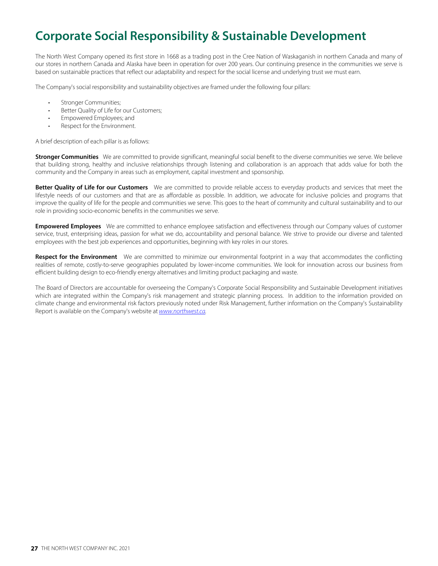## **Corporate Social Responsibility & Sustainable Development**

The North West Company opened its first store in 1668 as a trading post in the Cree Nation of Waskaganish in northern Canada and many of our stores in northern Canada and Alaska have been in operation for over 200 years. Our continuing presence in the communities we serve is based on sustainable practices that reflect our adaptability and respect for the social license and underlying trust we must earn.

The Company's social responsibility and sustainability objectives are framed under the following four pillars:

- Stronger Communities;
- Better Quality of Life for our Customers;
- Empowered Employees; and
- Respect for the Environment.

A brief description of each pillar is as follows:

**Stronger Communities** We are committed to provide significant, meaningful social benefit to the diverse communities we serve. We believe that building strong, healthy and inclusive relationships through listening and collaboration is an approach that adds value for both the community and the Company in areas such as employment, capital investment and sponsorship.

**Better Quality of Life for our Customers** We are committed to provide reliable access to everyday products and services that meet the lifestyle needs of our customers and that are as affordable as possible. In addition, we advocate for inclusive policies and programs that improve the quality of life for the people and communities we serve. This goes to the heart of community and cultural sustainability and to our role in providing socio-economic benefits in the communities we serve.

**Empowered Employees** We are committed to enhance employee satisfaction and effectiveness through our Company values of customer service, trust, enterprising ideas, passion for what we do, accountability and personal balance. We strive to provide our diverse and talented employees with the best job experiences and opportunities, beginning with key roles in our stores.

Respect for the Environment We are committed to minimize our environmental footprint in a way that accommodates the conflicting realities of remote, costly-to-serve geographies populated by lower-income communities. We look for innovation across our business from efficient building design to eco-friendly energy alternatives and limiting product packaging and waste.

The Board of Directors are accountable for overseeing the Company's Corporate Social Responsibility and Sustainable Development initiatives which are integrated within the Company's risk management and strategic planning process. In addition to the information provided on climate change and environmental risk factors previously noted under Risk Management, further information on the Company's Sustainability Report is available on the Company's website at [www.northwest.ca](http://www.northwest.ca).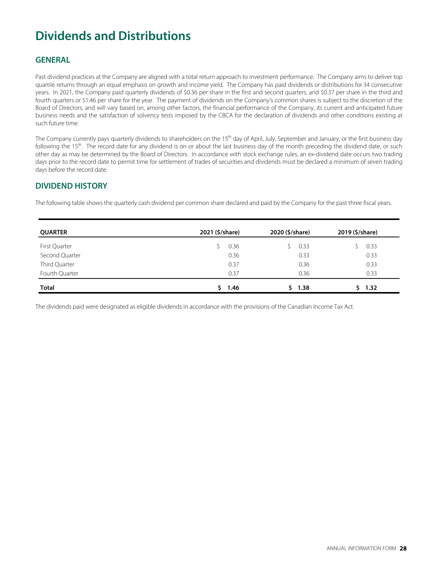## **Dividends and Distributions**

## **GENERAL**

Past dividend practices at the Company are aligned with a total return approach to investment performance. The Company aims to deliver top quartile returns through an equal emphasis on growth and income yield. The Company has paid dividends or distributions for 34 consecutive years. In 2021, the Company paid quarterly dividends of \$0.36 per share in the first and second quarters, and \$0.37 per share in the third and fourth quarters or \$1.46 per share for the year. The payment of dividends on the Company's common shares is subject to the discretion of the Board of Directors, and will vary based on, among other factors, the financial performance of the Company, its current and anticipated future business needs and the satisfaction of solvency tests imposed by the CBCA for the declaration of dividends and other conditions existing at such future time.

The Company currently pays quarterly dividends to shareholders on the 15<sup>th</sup> day of April, July, September and January, or the first business day following the 15<sup>th</sup>. The record date for any dividend is on or about the last business day of the month preceding the dividend date, or such other day as may be determined by the Board of Directors. In accordance with stock exchange rules, an ex-dividend date occurs two trading days prior to the record date to permit time for settlement of trades of securities and dividends must be declared a minimum of seven trading days before the record date.

## **DIVIDEND HISTORY**

The following table shows the quarterly cash dividend per common share declared and paid by the Company for the past three fiscal years.

| <b>QUARTER</b> | 2021 (\$/share)<br>2020 (\$/share) |      | 2019 (\$/share) |  |
|----------------|------------------------------------|------|-----------------|--|
| First Quarter  | 0.36                               | 0.33 | 0.33            |  |
| Second Quarter | 0.36                               | 0.33 | 0.33            |  |
| Third Quarter  | 0.37                               | 0.36 | 0.33            |  |
| Fourth Quarter | 0.37                               | 0.36 | 0.33            |  |
| Total          | 1.46                               | 1.38 | 1.32            |  |

The dividends paid were designated as eligible dividends in accordance with the provisions of the Canadian Income Tax Act.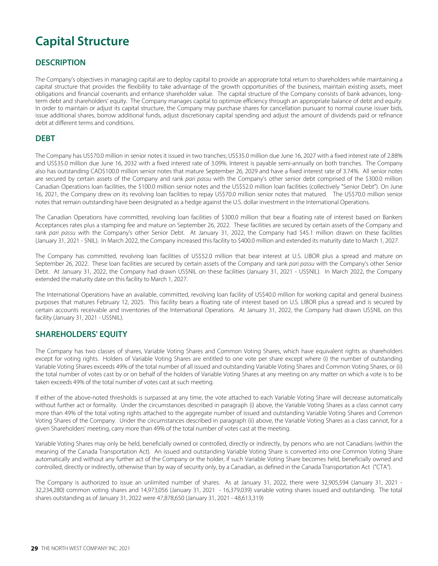## **Capital Structure**

## **DESCRIPTION**

The Company's objectives in managing capital are to deploy capital to provide an appropriate total return to shareholders while maintaining a capital structure that provides the flexibility to take advantage of the growth opportunities of the business, maintain existing assets, meet obligations and financial covenants and enhance shareholder value. The capital structure of the Company consists of bank advances, longterm debt and shareholders' equity. The Company manages capital to optimize efficiency through an appropriate balance of debt and equity. In order to maintain or adjust its capital structure, the Company may purchase shares for cancellation pursuant to normal course issuer bids, issue additional shares, borrow additional funds, adjust discretionary capital spending and adjust the amount of dividends paid or refinance debt at different terms and conditions.

#### **DEBT**

The Company has US\$70.0 million in senior notes it issued in two tranches; US\$35.0 million due June 16, 2027 with a fixed interest rate of 2.88% and US\$35.0 million due June 16, 2032 with a fixed interest rate of 3.09%. Interest is payable semi-annually on both tranches. The Company also has outstanding CAD\$100.0 million senior notes that mature September 26, 2029 and have a fixed interest rate of 3.74%. All senior notes are secured by certain assets of the Company and rank pari passu with the Company's other senior debt comprised of the \$300.0 million Canadian Operations loan facilities, the \$100.0 million senior notes and the US\$52.0 million loan facilities (collectively "Senior Debt"). On June 16, 2021, the Company drew on its revolving loan facilities to repay US\$70.0 million senior notes that matured. The US\$70.0 million senior notes that remain outstanding have been designated as a hedge against the U.S. dollar investment in the International Operations.

The Canadian Operations have committed, revolving loan facilities of \$300.0 million that bear a floating rate of interest based on Bankers Acceptances rates plus a stamping fee and mature on September 26, 2022. These facilities are secured by certain assets of the Company and rank pari passu with the Company's other Senior Debt. At January 31, 2022, the Company had \$45.1 million drawn on these facilities (January 31, 2021 - \$NIL). In March 2022, the Company increased this facility to \$400.0 million and extended its maturity date to March 1, 2027.

The Company has committed, revolving loan facilities of US\$52.0 million that bear interest at U.S. LIBOR plus a spread and mature on September 26, 2022. These loan facilities are secured by certain assets of the Company and rank pari passu with the Company's other Senior Debt. At January 31, 2022, the Company had drawn US\$NIL on these facilities (January 31, 2021 - US\$NIL). In March 2022, the Company extended the maturity date on this facility to March 1, 2027.

The International Operations have an available, committed, revolving loan facility of US\$40.0 million for working capital and general business purposes that matures February 12, 2025. This facility bears a floating rate of interest based on U.S. LIBOR plus a spread and is secured by certain accounts receivable and inventories of the International Operations. At January 31, 2022, the Company had drawn US\$NIL on this facility (January 31, 2021 - US\$NIL).

### **SHAREHOLDERS' EQUITY**

The Company has two classes of shares, Variable Voting Shares and Common Voting Shares, which have equivalent rights as shareholders except for voting rights. Holders of Variable Voting Shares are entitled to one vote per share except where (i) the number of outstanding Variable Voting Shares exceeds 49% of the total number of all issued and outstanding Variable Voting Shares and Common Voting Shares, or (ii) the total number of votes cast by or on behalf of the holders of Variable Voting Shares at any meeting on any matter on which a vote is to be taken exceeds 49% of the total number of votes cast at such meeting.

If either of the above-noted thresholds is surpassed at any time, the vote attached to each Variable Voting Share will decrease automatically without further act or formality. Under the circumstances described in paragraph (i) above, the Variable Voting Shares as a class cannot carry more than 49% of the total voting rights attached to the aggregate number of issued and outstanding Variable Voting Shares and Common Voting Shares of the Company. Under the circumstances described in paragraph (ii) above, the Variable Voting Shares as a class cannot, for a given Shareholders' meeting, carry more than 49% of the total number of votes cast at the meeting.

Variable Voting Shares may only be held, beneficially owned or controlled, directly or indirectly, by persons who are not Canadians (within the meaning of the Canada Transportation Act). An issued and outstanding Variable Voting Share is converted into one Common Voting Share automatically and without any further act of the Company or the holder, if such Variable Voting Share becomes held, beneficially owned and controlled, directly or indirectly, otherwise than by way of security only, by a Canadian, as defined in the Canada Transportation Act ("CTA").

The Company is authorized to issue an unlimited number of shares. As at January 31, 2022, there were 32,905,594 (January 31, 2021 - 32,234,280) common voting shares and 14,973,056 (January 31, 2021 - 16,379,039) variable voting shares issued and outstanding. The total shares outstanding as of January 31, 2022 were 47,878,650 (January 31, 2021 - 48,613,319)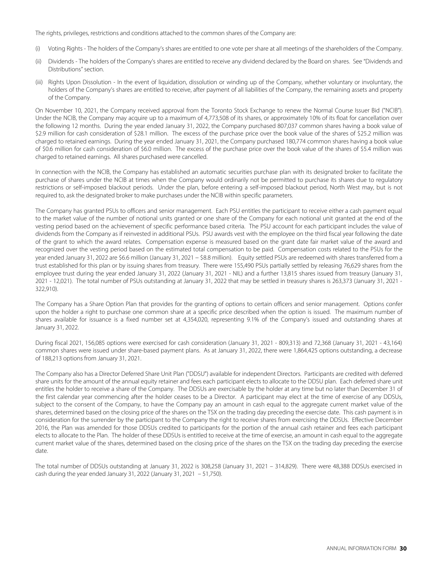The rights, privileges, restrictions and conditions attached to the common shares of the Company are:

- (i) Voting Rights The holders of the Company's shares are entitled to one vote per share at all meetings of the shareholders of the Company.
- (ii) Dividends The holders of the Company's shares are entitled to receive any dividend declared by the Board on shares. See "Dividends and Distributions" section.
- (iii) Rights Upon Dissolution In the event of liquidation, dissolution or winding up of the Company, whether voluntary or involuntary, the holders of the Company's shares are entitled to receive, after payment of all liabilities of the Company, the remaining assets and property of the Company.

On November 10, 2021, the Company received approval from the Toronto Stock Exchange to renew the Normal Course Issuer Bid ("NCIB"). Under the NCIB, the Company may acquire up to a maximum of 4,773,508 of its shares, or approximately 10% of its float for cancellation over the following 12 months. During the year ended January 31, 2022, the Company purchased 807,037 common shares having a book value of \$2.9 million for cash consideration of \$28.1 million. The excess of the purchase price over the book value of the shares of \$25.2 million was charged to retained earnings. During the year ended January 31, 2021, the Company purchased 180,774 common shares having a book value of \$0.6 million for cash consideration of \$6.0 million. The excess of the purchase price over the book value of the shares of \$5.4 million was charged to retained earnings. All shares purchased were cancelled.

In connection with the NCIB, the Company has established an automatic securities purchase plan with its designated broker to facilitate the purchase of shares under the NCIB at times when the Company would ordinarily not be permitted to purchase its shares due to regulatory restrictions or self-imposed blackout periods. Under the plan, before entering a self-imposed blackout period, North West may, but is not required to, ask the designated broker to make purchases under the NCIB within specific parameters.

The Company has granted PSUs to officers and senior management. Each PSU entitles the participant to receive either a cash payment equal to the market value of the number of notional units granted or one share of the Company for each notional unit granted at the end of the vesting period based on the achievement of specific performance based criteria. The PSU account for each participant includes the value of dividends from the Company as if reinvested in additional PSUs. PSU awards vest with the employee on the third fiscal year following the date of the grant to which the award relates. Compensation expense is measured based on the grant date fair market value of the award and recognized over the vesting period based on the estimated total compensation to be paid. Compensation costs related to the PSUs for the year ended January 31, 2022 are \$6.6 million (January 31, 2021 – \$8.8 million). Equity settled PSUs are redeemed with shares transferred from a trust established for this plan or by issuing shares from treasury. There were 155,490 PSUs partially settled by releasing 76,629 shares from the employee trust during the year ended January 31, 2022 (January 31, 2021 - NIL) and a further 13,815 shares issued from treasury (January 31, 2021 - 12,021). The total number of PSUs outstanding at January 31, 2022 that may be settled in treasury shares is 263,373 (January 31, 2021 - 322,910).

The Company has a Share Option Plan that provides for the granting of options to certain officers and senior management. Options confer upon the holder a right to purchase one common share at a specific price described when the option is issued. The maximum number of shares available for issuance is a fixed number set at 4,354,020, representing 9.1% of the Company's issued and outstanding shares at January 31, 2022.

During fiscal 2021, 156,085 options were exercised for cash consideration (January 31, 2021 - 809,313) and 72,368 (January 31, 2021 - 43,164) common shares were issued under share-based payment plans. As at January 31, 2022, there were 1,864,425 options outstanding, a decrease of 188,213 options from January 31, 2021.

The Company also has a Director Deferred Share Unit Plan ("DDSU") available for independent Directors. Participants are credited with deferred share units for the amount of the annual equity retainer and fees each participant elects to allocate to the DDSU plan. Each deferred share unit entitles the holder to receive a share of the Company. The DDSUs are exercisable by the holder at any time but no later than December 31 of the first calendar year commencing after the holder ceases to be a Director. A participant may elect at the time of exercise of any DDSUs, subject to the consent of the Company, to have the Company pay an amount in cash equal to the aggregate current market value of the shares, determined based on the closing price of the shares on the TSX on the trading day preceding the exercise date. This cash payment is in consideration for the surrender by the participant to the Company the right to receive shares from exercising the DDSUs. Effective December 2016, the Plan was amended for those DDSUs credited to participants for the portion of the annual cash retainer and fees each participant elects to allocate to the Plan. The holder of these DDSUs is entitled to receive at the time of exercise, an amount in cash equal to the aggregate current market value of the shares, determined based on the closing price of the shares on the TSX on the trading day preceding the exercise date.

The total number of DDSUs outstanding at January 31, 2022 is 308,258 (January 31, 2021 – 314,829). There were 48,388 DDSUs exercised in cash during the year ended January 31, 2022 (January 31, 2021 – 51,750).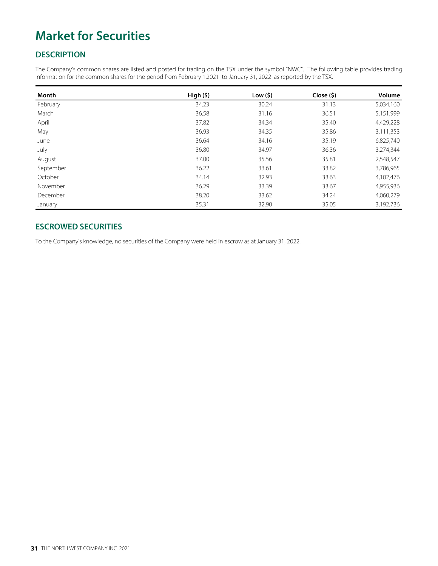## **Market for Securities**

## **DESCRIPTION**

The Company's common shares are listed and posted for trading on the TSX under the symbol "NWC". The following table provides trading information for the common shares for the period from February 1,2021 to January 31, 2022 as reported by the TSX.

| Month     | High(5) | Low(5) | Close ( \$) | Volume    |
|-----------|---------|--------|-------------|-----------|
| February  | 34.23   | 30.24  | 31.13       | 5,034,160 |
| March     | 36.58   | 31.16  | 36.51       | 5,151,999 |
| April     | 37.82   | 34.34  | 35.40       | 4,429,228 |
| May       | 36.93   | 34.35  | 35.86       | 3,111,353 |
| June      | 36.64   | 34.16  | 35.19       | 6,825,740 |
| July      | 36.80   | 34.97  | 36.36       | 3,274,344 |
| August    | 37.00   | 35.56  | 35.81       | 2,548,547 |
| September | 36.22   | 33.61  | 33.82       | 3,786,965 |
| October   | 34.14   | 32.93  | 33.63       | 4,102,476 |
| November  | 36.29   | 33.39  | 33.67       | 4,955,936 |
| December  | 38.20   | 33.62  | 34.24       | 4,060,279 |
| January   | 35.31   | 32.90  | 35.05       | 3,192,736 |

### **ESCROWED SECURITIES**

To the Company's knowledge, no securities of the Company were held in escrow as at January 31, 2022.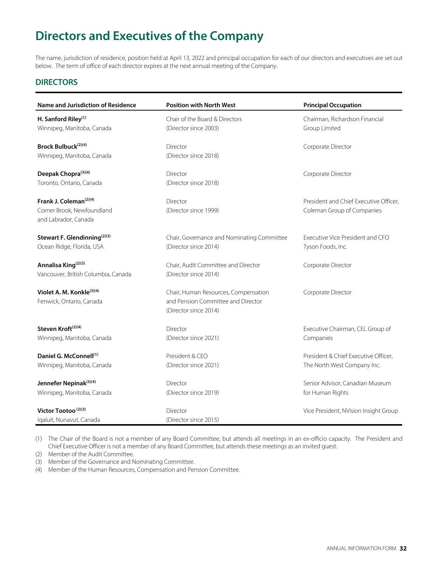## **Directors and Executives of the Company**

The name, jurisdiction of residence, position held at April 13, 2022 and principal occupation for each of our directors and executives are set out below. The term of office of each director expires at the next annual meeting of the Company.

## **DIRECTORS**

| Name and Jurisdiction of Residence       | <b>Position with North West</b>            | <b>Principal Occupation</b>            |  |  |
|------------------------------------------|--------------------------------------------|----------------------------------------|--|--|
| H. Sanford Riley <sup>(1)</sup>          | Chair of the Board & Directors             | Chairman, Richardson Financial         |  |  |
| Winnipeg, Manitoba, Canada               | (Director since 2003)                      | Group Limited                          |  |  |
| Brock Bulbuck <sup>(2)(4)</sup>          | Director                                   | Corporate Director                     |  |  |
| Winnipeg, Manitoba, Canada               | (Director since 2018)                      |                                        |  |  |
| Deepak Chopra <sup>(3)(4)</sup>          | Director                                   | Corporate Director                     |  |  |
| Toronto, Ontario, Canada                 | (Director since 2018)                      |                                        |  |  |
| Frank J. Coleman <sup>(2)(4)</sup>       | Director                                   | President and Chief Executive Officer, |  |  |
| Corner Brook, Newfoundland               | (Director since 1999)                      | Coleman Group of Companies             |  |  |
| and Labrador, Canada                     |                                            |                                        |  |  |
| Stewart F. Glendinning <sup>(2)(3)</sup> | Chair, Governance and Nominating Committee | Executive Vice President and CFO       |  |  |
| Ocean Ridge, Florida, USA                | (Director since 2014)                      | Tyson Foods, Inc.                      |  |  |
| Annalisa King <sup>(2)(3)</sup>          | Chair, Audit Committee and Director        | Corporate Director                     |  |  |
| Vancouver, British Columbia, Canada      | (Director since 2014)                      |                                        |  |  |
| Violet A. M. Konkle <sup>(3)(4)</sup>    | Chair, Human Resources, Compensation       | Corporate Director                     |  |  |
| Fenwick, Ontario, Canada                 | and Pension Committee and Director         |                                        |  |  |
|                                          | (Director since 2014)                      |                                        |  |  |
| Steven Kroft <sup>(2)(4)</sup>           | Director                                   | Executive Chairman, CEL Group of       |  |  |
| Winnipeg, Manitoba, Canada               | (Director since 2021)                      | Companies                              |  |  |
| Daniel G. McConnell <sup>(1)</sup>       | President & CEO                            | President & Chief Executive Officer.   |  |  |
| Winnipeg, Manitoba, Canada               | (Director since 2021)                      | The North West Company Inc.            |  |  |
| Jennefer Nepinak <sup>(3)(4)</sup>       | Director                                   | Senior Advisor, Canadian Museum        |  |  |
| Winnipeg, Manitoba, Canada               | (Director since 2019)                      | for Human Rights                       |  |  |
| Victor Tootoo <sup>(2)(3)</sup>          | Director                                   | Vice President, NVision Insight Group  |  |  |
| Iqaluit, Nunavut, Canada                 | (Director since 2015)                      |                                        |  |  |

(1) The Chair of the Board is not a member of any Board Committee, but attends all meetings in an ex-officio capacity. The President and Chief Executive Officer is not a member of any Board Committee, but attends these meetings as an invited guest.

(2) Member of the Audit Committee.

(3) Member of the Governance and Nominating Committee.

(4) Member of the Human Resources, Compensation and Pension Committee.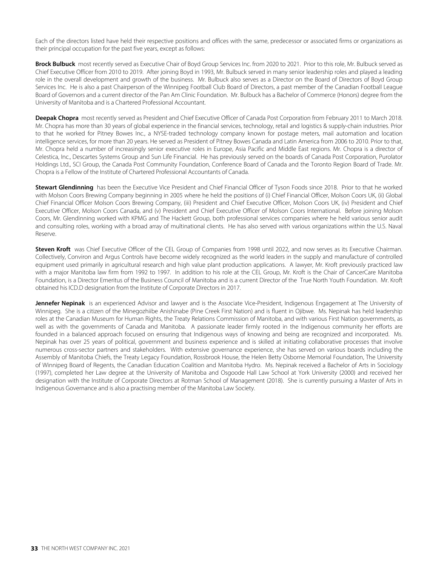Each of the directors listed have held their respective positions and offices with the same, predecessor or associated firms or organizations as their principal occupation for the past five years, except as follows:

**Brock Bulbuck** most recently served as Executive Chair of Boyd Group Services Inc. from 2020 to 2021. Prior to this role, Mr. Bulbuck served as Chief Executive Officer from 2010 to 2019. After joining Boyd in 1993, Mr. Bulbuck served in many senior leadership roles and played a leading role in the overall development and growth of the business. Mr. Bulbuck also serves as a Director on the Board of Directors of Boyd Group Services Inc. He is also a past Chairperson of the Winnipeg Football Club Board of Directors, a past member of the Canadian Football League Board of Governors and a current director of the Pan Am Clinic Foundation. Mr. Bulbuck has a Bachelor of Commerce (Honors) degree from the University of Manitoba and is a Chartered Professional Accountant.

**Deepak Chopra** most recently served as President and Chief Executive Officer of Canada Post Corporation from February 2011 to March 2018. Mr. Chopra has more than 30 years of global experience in the financial services, technology, retail and logistics & supply-chain industries. Prior to that he worked for Pitney Bowes Inc., a NYSE-traded technology company known for postage meters, mail automation and location intelligence services, for more than 20 years. He served as President of Pitney Bowes Canada and Latin America from 2006 to 2010. Prior to that, Mr. Chopra held a number of increasingly senior executive roles in Europe, Asia Pacific and Middle East regions. Mr. Chopra is a director of Celestica, Inc., Descartes Systems Group and Sun Life Financial. He has previously served on the boards of Canada Post Corporation, Purolator Holdings Ltd., SCI Group, the Canada Post Community Foundation, Conference Board of Canada and the Toronto Region Board of Trade. Mr. Chopra is a Fellow of the Institute of Chartered Professional Accountants of Canada.

**Stewart Glendinning** has been the Executive Vice President and Chief Financial Officer of Tyson Foods since 2018. Prior to that he worked with Molson Coors Brewing Company beginning in 2005 where he held the positions of (i) Chief Financial Officer, Molson Coors UK, (ii) Global Chief Financial Officer Molson Coors Brewing Company, (iii) President and Chief Executive Officer, Molson Coors UK, (iv) President and Chief Executive Officer, Molson Coors Canada, and (v) President and Chief Executive Officer of Molson Coors International. Before joining Molson Coors, Mr. Glendinning worked with KPMG and The Hackett Group, both professional services companies where he held various senior audit and consulting roles, working with a broad array of multinational clients. He has also served with various organizations within the U.S. Naval Reserve.

**Steven Kroft** was Chief Executive Officer of the CEL Group of Companies from 1998 until 2022, and now serves as its Executive Chairman. Collectively, Conviron and Argus Controls have become widely recognized as the world leaders in the supply and manufacture of controlled equipment used primarily in agricultural research and high value plant production applications. A lawyer, Mr. Kroft previously practiced law with a major Manitoba law firm from 1992 to 1997. In addition to his role at the CEL Group, Mr. Kroft is the Chair of CancerCare Manitoba Foundation, is a Director Emeritus of the Business Council of Manitoba and is a current Director of the True North Youth Foundation. Mr. Kroft obtained his ICD.D designation from the Institute of Corporate Directors in 2017.

Jennefer Nepinak is an experienced Advisor and lawyer and is the Associate Vice-President, Indigenous Engagement at The University of Winnipeg. She is a citizen of the Minegozhiibe Anishinabe (Pine Creek First Nation) and is fluent in Ojibwe. Ms. Nepinak has held leadership roles at the Canadian Museum for Human Rights, the Treaty Relations Commission of Manitoba, and with various First Nation governments, as well as with the governments of Canada and Manitoba. A passionate leader firmly rooted in the Indigenous community her efforts are founded in a balanced approach focused on ensuring that Indigenous ways of knowing and being are recognized and incorporated. Ms. Nepinak has over 25 years of political, government and business experience and is skilled at initiating collaborative processes that involve numerous cross-sector partners and stakeholders. With extensive governance experience, she has served on various boards including the Assembly of Manitoba Chiefs, the Treaty Legacy Foundation, Rossbrook House, the Helen Betty Osborne Memorial Foundation, The University of Winnipeg Board of Regents, the Canadian Education Coalition and Manitoba Hydro. Ms. Nepinak received a Bachelor of Arts in Sociology (1997), completed her Law degree at the University of Manitoba and Osgoode Hall Law School at York University (2000) and received her designation with the Institute of Corporate Directors at Rotman School of Management (2018). She is currently pursuing a Master of Arts in Indigenous Governance and is also a practising member of the Manitoba Law Society.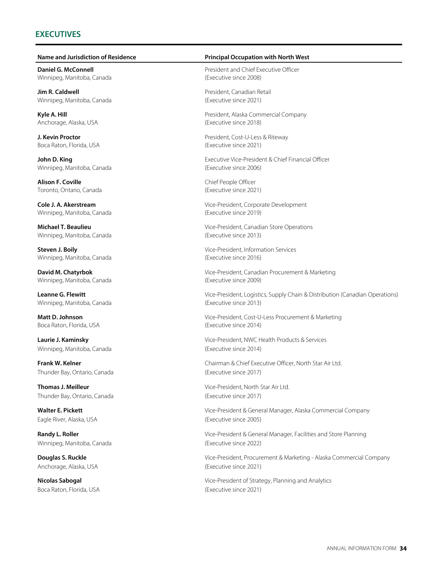### **EXECUTIVES**

**Daniel G. McConnell**  Winnipeg, Manitoba, Canada

**Jim R. Caldwell** Winnipeg, Manitoba, Canada

**Kyle A. Hill** Anchorage, Alaska, USA

**J. Kevin Proctor** Boca Raton, Florida, USA

**John D. King** Winnipeg, Manitoba, Canada

**Alison F. Coville** Toronto, Ontario, Canada

**Cole J. A. Akerstream**  Winnipeg, Manitoba, Canada

**Michael T. Beaulieu**  Winnipeg, Manitoba, Canada

**Steven J. Boily** Winnipeg, Manitoba, Canada

**David M. Chatyrbok**  Winnipeg, Manitoba, Canada

**Leanne G. Flewitt**  Winnipeg, Manitoba, Canada

**Matt D. Johnson** Boca Raton, Florida, USA

**Laurie J. Kaminsky**  Winnipeg, Manitoba, Canada

**Frank W. Kelner** Thunder Bay, Ontario, Canada

**Thomas J. Meilleur**  Thunder Bay, Ontario, Canada

**Walter E. Pickett** Eagle River, Alaska, USA

**Randy L. Roller** Winnipeg, Manitoba, Canada

**Douglas S. Ruckle**  Anchorage, Alaska, USA

**Nicolas Sabogal** Boca Raton, Florida, USA (Executive since 2021)

#### **Name and Jurisdiction of Residence Principal Occupation with North West**

President and Chief Executive Officer (Executive since 2008)

President, Canadian Retail (Executive since 2021)

President, Alaska Commercial Company (Executive since 2018)

President, Cost-U-Less & Riteway (Executive since 2021)

Executive Vice-President & Chief Financial Officer (Executive since 2006)

Chief People Officer (Executive since 2021)

Vice-President, Corporate Development (Executive since 2019)

Vice-President, Canadian Store Operations (Executive since 2013)

Vice-President, Information Services (Executive since 2016)

Vice-President, Canadian Procurement & Marketing (Executive since 2009)

Vice-President, Logistics, Supply Chain & Distribution (Canadian Operations) (Executive since 2013)

Vice-President, Cost-U-Less Procurement & Marketing (Executive since 2014)

Vice-President, NWC Health Products & Services (Executive since 2014)

Chairman & Chief Executive Officer, North Star Air Ltd. (Executive since 2017)

Vice-President, North Star Air Ltd. (Executive since 2017)

Vice-President & General Manager, Alaska Commercial Company (Executive since 2005)

Vice-President & General Manager, Facilities and Store Planning (Executive since 2022)

Vice-President, Procurement & Marketing - Alaska Commercial Company (Executive since 2021)

Vice-President of Strategy, Planning and Analytics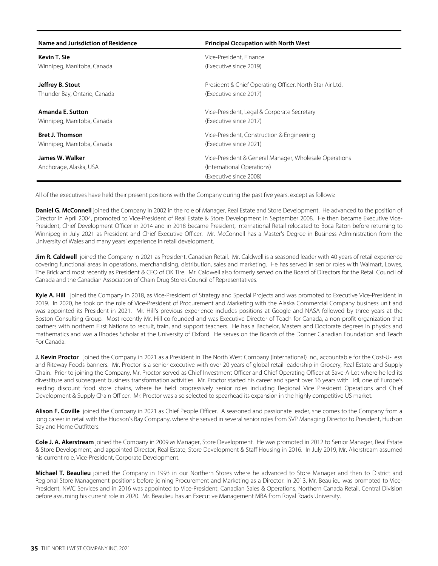| Name and Jurisdiction of Residence | <b>Principal Occupation with North West</b>              |
|------------------------------------|----------------------------------------------------------|
| <b>Kevin T. Sie</b>                | Vice-President, Finance                                  |
| Winnipeg, Manitoba, Canada         | (Executive since 2019)                                   |
| Jeffrey B. Stout                   | President & Chief Operating Officer, North Star Air Ltd. |
| Thunder Bay, Ontario, Canada       | (Executive since 2017)                                   |
| Amanda E. Sutton                   | Vice-President, Legal & Corporate Secretary              |
| Winnipeg, Manitoba, Canada         | (Executive since 2017)                                   |
| <b>Bret J. Thomson</b>             | Vice-President, Construction & Engineering               |
| Winnipeg, Manitoba, Canada         | (Executive since 2021)                                   |
| James W. Walker                    | Vice-President & General Manager, Wholesale Operations   |
| Anchorage, Alaska, USA             | (International Operations)                               |
|                                    | (Executive since 2008)                                   |

All of the executives have held their present positions with the Company during the past five years, except as follows:

**Daniel G. McConnell** joined the Company in 2002 in the role of Manager, Real Estate and Store Development. He advanced to the position of Director in April 2004, promoted to Vice-President of Real Estate & Store Development in September 2008. He then became Executive Vice-President, Chief Development Officer in 2014 and in 2018 became President, International Retail relocated to Boca Raton before returning to Winnipeg in July 2021 as President and Chief Executive Officer. Mr. McConnell has a Master's Degree in Business Administration from the University of Wales and many years' experience in retail development.

**Jim R. Caldwell** joined the Company in 2021 as President, Canadian Retail. Mr. Caldwell is a seasoned leader with 40 years of retail experience covering functional areas in operations, merchandising, distribution, sales and marketing. He has served in senior roles with Walmart, Lowes, The Brick and most recently as President & CEO of OK Tire. Mr. Caldwell also formerly served on the Board of Directors for the Retail Council of Canada and the Canadian Association of Chain Drug Stores Council of Representatives.

**Kyle A. Hill** joined the Company in 2018, as Vice-President of Strategy and Special Projects and was promoted to Executive Vice-President in 2019. In 2020, he took on the role of Vice-President of Procurement and Marketing with the Alaska Commercial Company business unit and was appointed its President in 2021. Mr. Hill's previous experience includes positions at Google and NASA followed by three years at the Boston Consulting Group. Most recently Mr. Hill co-founded and was Executive Director of Teach for Canada, a non-profit organization that partners with northern First Nations to recruit, train, and support teachers. He has a Bachelor, Masters and Doctorate degrees in physics and mathematics and was a Rhodes Scholar at the University of Oxford. He serves on the Boards of the Donner Canadian Foundation and Teach For Canada.

**J. Kevin Proctor** joined the Company in 2021 as a President in The North West Company (International) Inc., accountable for the Cost-U-Less and Riteway Foods banners. Mr. Proctor is a senior executive with over 20 years of global retail leadership in Grocery, Real Estate and Supply Chain. Prior to joining the Company, Mr. Proctor served as Chief Investment Officer and Chief Operating Officer at Save-A-Lot where he led its divestiture and subsequent business transformation activities. Mr. Proctor started his career and spent over 16 years with Lidl, one of Europe's leading discount food store chains, where he held progressively senior roles including Regional Vice President Operations and Chief Development & Supply Chain Officer. Mr. Proctor was also selected to spearhead its expansion in the highly competitive US market.

**Alison F. Coville** joined the Company in 2021 as Chief People Officer. A seasoned and passionate leader, she comes to the Company from a long career in retail with the Hudson's Bay Company, where she served in several senior roles from SVP Managing Director to President, Hudson Bay and Home Outfitters.

**Cole J. A. Akerstream** joined the Company in 2009 as Manager, Store Development. He was promoted in 2012 to Senior Manager, Real Estate & Store Development, and appointed Director, Real Estate, Store Development & Staff Housing in 2016. In July 2019, Mr. Akerstream assumed his current role, Vice-President, Corporate Development.

**Michael T. Beaulieu** joined the Company in 1993 in our Northern Stores where he advanced to Store Manager and then to District and Regional Store Management positions before joining Procurement and Marketing as a Director. In 2013, Mr. Beaulieu was promoted to Vice-President, NWC Services and in 2016 was appointed to Vice-President, Canadian Sales & Operations, Northern Canada Retail, Central Division before assuming his current role in 2020. Mr. Beaulieu has an Executive Management MBA from Royal Roads University.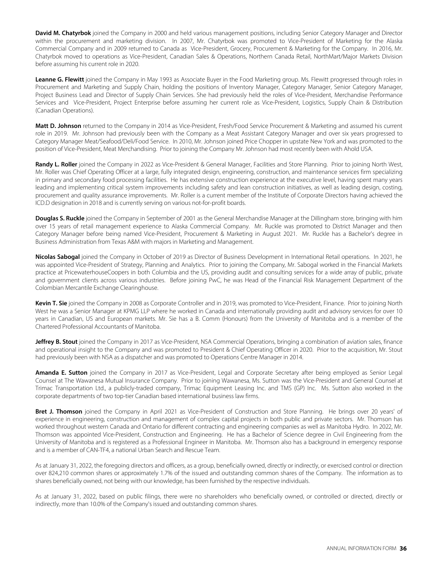**David M. Chatyrbok** joined the Company in 2000 and held various management positions, including Senior Category Manager and Director within the procurement and marketing division. In 2007, Mr. Chatyrbok was promoted to Vice-President of Marketing for the Alaska Commercial Company and in 2009 returned to Canada as Vice-President, Grocery, Procurement & Marketing for the Company. In 2016, Mr. Chatyrbok moved to operations as Vice-President, Canadian Sales & Operations, Northern Canada Retail, NorthMart/Major Markets Division before assuming his current role in 2020.

**Leanne G. Flewitt** joined the Company in May 1993 as Associate Buyer in the Food Marketing group. Ms. Flewitt progressed through roles in Procurement and Marketing and Supply Chain, holding the positions of Inventory Manager, Category Manager, Senior Category Manager, Project Business Lead and Director of Supply Chain Services. She had previously held the roles of Vice-President, Merchandise Performance Services and Vice-President, Project Enterprise before assuming her current role as Vice-President, Logistics, Supply Chain & Distribution (Canadian Operations).

**Matt D. Johnson** returned to the Company in 2014 as Vice-President, Fresh/Food Service Procurement & Marketing and assumed his current role in 2019. Mr. Johnson had previously been with the Company as a Meat Assistant Category Manager and over six years progressed to Category Manager Meat/Seafood/Deli/Food Service. In 2010, Mr. Johnson joined Price Chopper in upstate New York and was promoted to the position of Vice-President, Meat Merchandising. Prior to joining the Company Mr. Johnson had most recently been with Ahold USA.

**Randy L. Roller** joined the Company in 2022 as Vice-President & General Manager, Facilities and Store Planning. Prior to joining North West, Mr. Roller was Chief Operating Officer at a large, fully integrated design, engineering, construction, and maintenance services firm specializing in primary and secondary food processing facilities. He has extensive construction experience at the executive level, having spent many years leading and implementing critical system improvements including safety and lean construction initiatives, as well as leading design, costing, procurement and quality assurance improvements. Mr. Roller is a current member of the Institute of Corporate Directors having achieved the ICD.D designation in 2018 and is currently serving on various not-for-profit boards.

**Douglas S. Ruckle** joined the Company in September of 2001 as the General Merchandise Manager at the Dillingham store, bringing with him over 15 years of retail management experience to Alaska Commercial Company. Mr. Ruckle was promoted to District Manager and then Category Manager before being named Vice-President, Procurement & Marketing in August 2021. Mr. Ruckle has a Bachelor's degree in Business Administration from Texas A&M with majors in Marketing and Management.

**Nicolas Sabogal** joined the Company in October of 2019 as Director of Business Development in International Retail operations. In 2021, he was appointed Vice-President of Strategy, Planning and Analytics. Prior to joining the Company, Mr. Sabogal worked in the Financial Markets practice at PricewaterhouseCoopers in both Columbia and the US, providing audit and consulting services for a wide array of public, private and government clients across various industries. Before joining PwC, he was Head of the Financial Risk Management Department of the Colombian Mercantile Exchange Clearinghouse.

**Kevin T. Sie** joined the Company in 2008 as Corporate Controller and in 2019, was promoted to Vice-President, Finance. Prior to joining North West he was a Senior Manager at KPMG LLP where he worked in Canada and internationally providing audit and advisory services for over 10 years in Canadian, US and European markets. Mr. Sie has a B. Comm (Honours) from the University of Manitoba and is a member of the Chartered Professional Accountants of Manitoba.

Jeffrey B. Stout joined the Company in 2017 as Vice-President, NSA Commercial Operations, bringing a combination of aviation sales, finance and operational insight to the Company and was promoted to President & Chief Operating Officer in 2020. Prior to the acquisition, Mr. Stout had previously been with NSA as a dispatcher and was promoted to Operations Centre Manager in 2014.

**Amanda E. Sutton** joined the Company in 2017 as Vice-President, Legal and Corporate Secretary after being employed as Senior Legal Counsel at The Wawanesa Mutual Insurance Company. Prior to joining Wawanesa, Ms. Sutton was the Vice-President and General Counsel at Trimac Transportation Ltd., a publicly-traded company, Trimac Equipment Leasing Inc. and TMS (GP) Inc. Ms. Sutton also worked in the corporate departments of two top-tier Canadian based international business law firms.

**Bret J. Thomson** joined the Company in April 2021 as Vice-President of Construction and Store Planning. He brings over 20 years' of experience in engineering, construction and management of complex capital projects in both public and private sectors. Mr. Thomson has worked throughout western Canada and Ontario for different contracting and engineering companies as well as Manitoba Hydro. In 2022, Mr. Thomson was appointed Vice-President, Construction and Engineering. He has a Bachelor of Science degree in Civil Engineering from the University of Manitoba and is registered as a Professional Engineer in Manitoba. Mr. Thomson also has a background in emergency response and is a member of CAN-TF4, a national Urban Search and Rescue Team.

As at January 31, 2022, the foregoing directors and officers, as a group, beneficially owned, directly or indirectly, or exercised control or direction over 824,210 common shares or approximately 1.7% of the issued and outstanding common shares of the Company. The information as to shares beneficially owned, not being with our knowledge, has been furnished by the respective individuals.

As at January 31, 2022, based on public filings, there were no shareholders who beneficially owned, or controlled or directed, directly or indirectly, more than 10.0% of the Company's issued and outstanding common shares.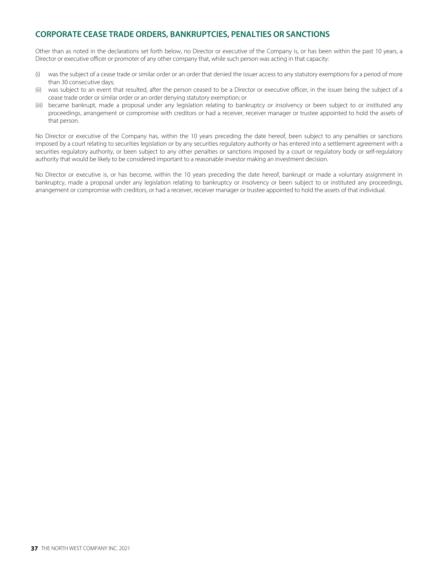## **CORPORATE CEASE TRADE ORDERS, BANKRUPTCIES, PENALTIES OR SANCTIONS**

Other than as noted in the declarations set forth below, no Director or executive of the Company is, or has been within the past 10 years, a Director or executive officer or promoter of any other company that, while such person was acting in that capacity:

- (i) was the subject of a cease trade or similar order or an order that denied the issuer access to any statutory exemptions for a period of more than 30 consecutive days;
- (ii) was subject to an event that resulted, after the person ceased to be a Director or executive officer, in the issuer being the subject of a cease trade order or similar order or an order denying statutory exemption; or
- (iii) became bankrupt, made a proposal under any legislation relating to bankruptcy or insolvency or been subject to or instituted any proceedings, arrangement or compromise with creditors or had a receiver, receiver manager or trustee appointed to hold the assets of that person.

No Director or executive of the Company has, within the 10 years preceding the date hereof, been subject to any penalties or sanctions imposed by a court relating to securities legislation or by any securities regulatory authority or has entered into a settlement agreement with a securities regulatory authority, or been subject to any other penalties or sanctions imposed by a court or regulatory body or self-regulatory authority that would be likely to be considered important to a reasonable investor making an investment decision.

No Director or executive is, or has become, within the 10 years preceding the date hereof, bankrupt or made a voluntary assignment in bankruptcy, made a proposal under any legislation relating to bankruptcy or insolvency or been subject to or instituted any proceedings, arrangement or compromise with creditors, or had a receiver, receiver manager or trustee appointed to hold the assets of that individual.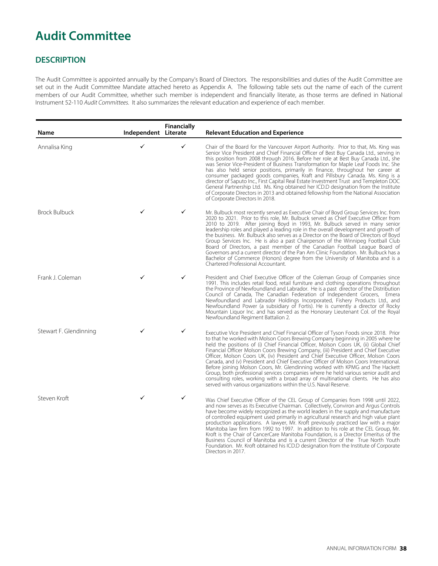## **Audit Committee**

## **DESCRIPTION**

The Audit Committee is appointed annually by the Company's Board of Directors. The responsibilities and duties of the Audit Committee are set out in the Audit Committee Mandate attached hereto as Appendix A. The following table sets out the name of each of the current members of our Audit Committee, whether such member is independent and financially literate, as those terms are defined in National Instrument 52-110 Audit Committees. It also summarizes the relevant education and experience of each member.

| Name                   | Independent Literate | Financially | <b>Relevant Education and Experience</b>                                                                                                                                                                                                                                                                                                                                                                                                                                                                                                                                                                                                                                                                                                                                                                                                                               |
|------------------------|----------------------|-------------|------------------------------------------------------------------------------------------------------------------------------------------------------------------------------------------------------------------------------------------------------------------------------------------------------------------------------------------------------------------------------------------------------------------------------------------------------------------------------------------------------------------------------------------------------------------------------------------------------------------------------------------------------------------------------------------------------------------------------------------------------------------------------------------------------------------------------------------------------------------------|
| Annalisa King          | ✓                    | ✓           | Chair of the Board for the Vancouver Airport Authority. Prior to that, Ms. King was<br>Senior Vice President and Chief Financial Officer of Best Buy Canada Ltd., serving in<br>this position from 2008 through 2016. Before her role at Best Buy Canada Ltd., she<br>was Senior Vice-President of Business Transformation for Maple Leaf Foods Inc. She<br>has also held senior positions, primarily in finance, throughout her career at<br>consumer packaged goods companies, Kraft and Pillsbury Canada. Ms. King is a<br>director of Saputo Inc., First Capital Real Estate Investment Trust and Templeton DOC<br>General Partnership Ltd. Ms. King obtained her ICD.D designation from the Institute<br>of Corporate Directors in 2013 and obtained fellowship from the National Association<br>of Corporate Directors In 2018.                                  |
| <b>Brock Bulbuck</b>   |                      | ✓           | Mr. Bulbuck most recently served as Executive Chair of Boyd Group Services Inc. from<br>2020 to 2021. Prior to this role, Mr. Bulbuck served as Chief Executive Officer from<br>2010 to 2019. After joining Boyd in 1993, Mr. Bulbuck served in many senior<br>leadership roles and played a leading role in the overall development and growth of<br>the business. Mr. Bulbuck also serves as a Director on the Board of Directors of Boyd<br>Group Services Inc. He is also a past Chairperson of the Winnipeg Football Club<br>Board of Directors, a past member of the Canadian Football League Board of<br>Governors and a current director of the Pan Am Clinic Foundation. Mr. Bulbuck has a<br>Bachelor of Commerce (Honors) degree from the University of Manitoba and is a<br>Chartered Professional Accountant.                                             |
| Frank J. Coleman       | ✓                    | ✓           | President and Chief Executive Officer of the Coleman Group of Companies since<br>1991. This includes retail food, retail furniture and clothing operations throughout<br>the Province of Newfoundland and Labrador. He is a past director of the Distribution<br>Council of Canada, The Canadian Federation of Independent Grocers, Emera<br>Newfoundland and Labrador Holdings Incorporated, Fishery Products Ltd., and<br>Newfoundland Power (a subsidiary of Fortis). He is currently a director of Rocky<br>Mountain Liquor Inc. and has served as the Honorary Lieutenant Col. of the Royal<br>Newfoundland Regiment Battalion 2.                                                                                                                                                                                                                                 |
| Stewart F. Glendinning | ✓                    | ✓           | Executive Vice President and Chief Financial Officer of Tyson Foods since 2018. Prior<br>to that he worked with Molson Coors Brewing Company beginning in 2005 where he<br>held the positions of (i) Chief Financial Officer, Molson Coors UK, (ii) Global Chief<br>Financial Officer Molson Coors Brewing Company, (iii) President and Chief Executive<br>Officer, Molson Coors UK, (iv) President and Chief Executive Officer, Molson Coors<br>Canada, and (v) President and Chief Executive Officer of Molson Coors International.<br>Before joining Molson Coors, Mr. Glendinning worked with KPMG and The Hackett<br>Group, both professional services companies where he held various senior audit and<br>consulting roles, working with a broad array of multinational clients. He has also<br>served with various organizations within the U.S. Naval Reserve. |
| Steven Kroft           |                      | ✓           | Was Chief Executive Officer of the CEL Group of Companies from 1998 until 2022,<br>and now serves as its Executive Chairman. Collectively, Conviron and Argus Controls<br>have become widely recognized as the world leaders in the supply and manufacture<br>of controlled equipment used primarily in agricultural research and high value plant<br>production applications. A lawyer, Mr. Kroft previously practiced law with a major<br>Manitoba law firm from 1992 to 1997. In addition to his role at the CEL Group, Mr.<br>Kroft is the Chair of CancerCare Manitoba Foundation, is a Director Emeritus of the<br>Business Council of Manitoba and is a current Director of the True North Youth<br>Foundation. Mr. Kroft obtained his ICD.D designation from the Institute of Corporate<br>Directors in 2017.                                                  |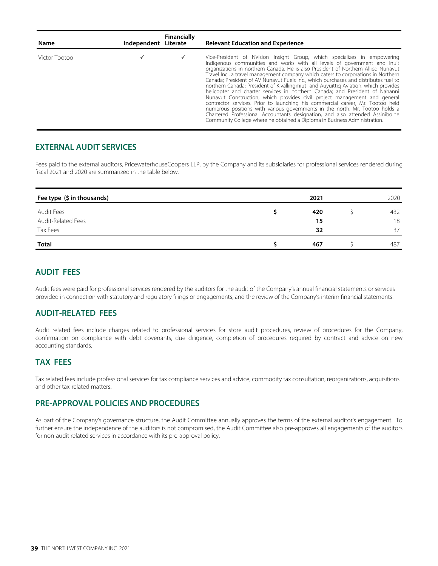| Name          | Independent Literate | Financially | <b>Relevant Education and Experience</b>                                                                                                                                                                                                                                                                                                                                                                                                                                                                                                                                                                                                                                                                                                                                                                                                                                                                                                                                                                 |
|---------------|----------------------|-------------|----------------------------------------------------------------------------------------------------------------------------------------------------------------------------------------------------------------------------------------------------------------------------------------------------------------------------------------------------------------------------------------------------------------------------------------------------------------------------------------------------------------------------------------------------------------------------------------------------------------------------------------------------------------------------------------------------------------------------------------------------------------------------------------------------------------------------------------------------------------------------------------------------------------------------------------------------------------------------------------------------------|
| Victor Tootoo |                      |             | Vice-President of NVision Insight Group, which specializes in empowering<br>Indigenous communities and works with all levels of government and Inuit<br>organizations in northern Canada. He is also President of Northern Allied Nunavut<br>Travel Inc., a travel management company which caters to corporations in Northern<br>Canada; President of AV Nunavut Fuels Inc., which purchases and distributes fuel to<br>northern Canada; President of Kivallingmiut and Auyuittig Aviation, which provides<br>helicopter and charter services in northern Canada; and President of Nahanni<br>Nunavut Construction, which provides civil project management and general<br>contractor services. Prior to launching his commercial career, Mr. Tootoo held<br>numerous positions with various governments in the north. Mr. Tootoo holds a<br>Chartered Professional Accountants designation, and also attended Assiniboine<br>Community College where he obtained a Diploma in Business Administration. |

#### **EXTERNAL AUDIT SERVICES**

Fees paid to the external auditors, PricewaterhouseCoopers LLP, by the Company and its subsidiaries for professional services rendered during fiscal 2021 and 2020 are summarized in the table below.

| Fee type (\$ in thousands) | 2021 | 2020 |
|----------------------------|------|------|
| Audit Fees                 | 420  | 432  |
| Audit-Related Fees         | 15   | 18   |
| Tax Fees                   | 32   | 37   |
| Total                      | 467  | 487  |

### **AUDIT FEES**

Audit fees were paid for professional services rendered by the auditors for the audit of the Company's annual financial statements or services provided in connection with statutory and regulatory filings or engagements, and the review of the Company's interim financial statements.

#### **AUDIT-RELATED FEES**

Audit related fees include charges related to professional services for store audit procedures, review of procedures for the Company, confirmation on compliance with debt covenants, due diligence, completion of procedures required by contract and advice on new accounting standards.

## **TAX FEES**

Tax related fees include professional services for tax compliance services and advice, commodity tax consultation, reorganizations, acquisitions and other tax-related matters.

#### **PRE-APPROVAL POLICIES AND PROCEDURES**

As part of the Company's governance structure, the Audit Committee annually approves the terms of the external auditor's engagement. To further ensure the independence of the auditors is not compromised, the Audit Committee also pre-approves all engagements of the auditors for non-audit related services in accordance with its pre-approval policy.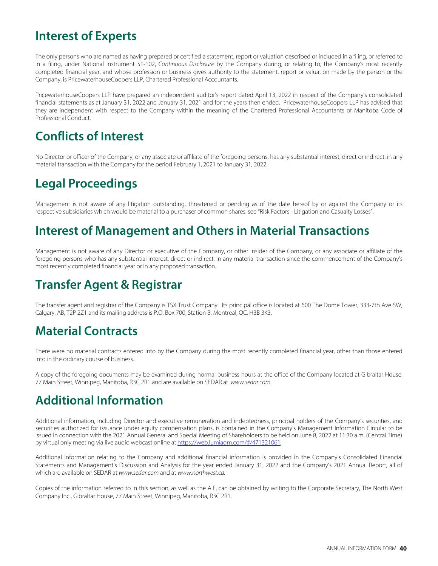## **Interest of Experts**

The only persons who are named as having prepared or certified a statement, report or valuation described or included in a filing, or referred to in a filing, under National Instrument 51-102, Continuous Disclosure by the Company during, or relating to, the Company's most recently completed financial year, and whose profession or business gives authority to the statement, report or valuation made by the person or the Company, is PricewaterhouseCoopers LLP, Chartered Professional Accountants.

PricewaterhouseCoopers LLP have prepared an independent auditor's report dated April 13, 2022 in respect of the Company's consolidated financial statements as at January 31, 2022 and January 31, 2021 and for the years then ended. PricewaterhouseCoopers LLP has advised that they are independent with respect to the Company within the meaning of the Chartered Professional Accountants of Manitoba Code of Professional Conduct.

## **Conflicts of Interest**

No Director or officer of the Company, or any associate or affiliate of the foregoing persons, has any substantial interest, direct or indirect, in any material transaction with the Company for the period February 1, 2021 to January 31, 2022.

## **Legal Proceedings**

Management is not aware of any litigation outstanding, threatened or pending as of the date hereof by or against the Company or its respective subsidiaries which would be material to a purchaser of common shares, see "Risk Factors - Litigation and Casualty Losses".

## **Interest of Management and Others in Material Transactions**

Management is not aware of any Director or executive of the Company, or other insider of the Company, or any associate or affiliate of the foregoing persons who has any substantial interest, direct or indirect, in any material transaction since the commencement of the Company's most recently completed financial year or in any proposed transaction.

## **Transfer Agent & Registrar**

The transfer agent and registrar of the Company is TSX Trust Company. Its principal office is located at 600 The Dome Tower, 333-7th Ave SW, Calgary, AB, T2P 2Z1 and its mailing address is P.O. Box 700, Station B, Montreal, QC, H3B 3K3.

## **Material Contracts**

There were no material contracts entered into by the Company during the most recently completed financial year, other than those entered into in the ordinary course of business.

A copy of the foregoing documents may be examined during normal business hours at the office of the Company located at Gibraltar House, 77 Main Street, Winnipeg, Manitoba, R3C 2R1 and are available on SEDAR at [www.sedar.com](http://www.sedar.com).

## **Additional Information**

Additional information, including Director and executive remuneration and indebtedness, principal holders of the Company's securities, and securities authorized for issuance under equity compensation plans, is contained in the Company's Management Information Circular to be issued in connection with the 2021 Annual General and Special Meeting of Shareholders to be held on June 8, 2022 at 11:30 a.m. (Central Time) by virtual only meeting via live audio webcast online at<https://web.lumiagm.com/#/471321061>.

Additional information relating to the Company and additional financial information is provided in the Company's Consolidated Financial Statements and Management's Discussion and Analysis for the year ended January 31, 2022 and the Company's 2021 Annual Report, all of which are available on SEDAR at [www.sedar.com](http://www.sedar.com) and at [www.northwest.ca](http://www.northwest.ca).

Copies of the information referred to in this section, as well as the AIF, can be obtained by writing to the Corporate Secretary, The North West Company Inc., Gibraltar House, 77 Main Street, Winnipeg, Manitoba, R3C 2R1.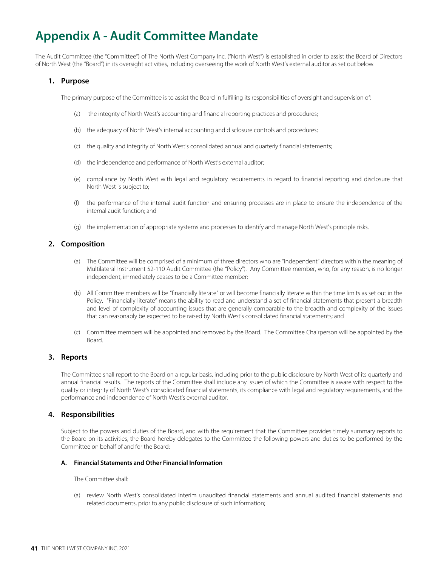## **Appendix A - Audit Committee Mandate**

The Audit Committee (the "Committee") of The North West Company Inc. ("North West") is established in order to assist the Board of Directors of North West (the "Board") in its oversight activities, including overseeing the work of North West's external auditor as set out below.

#### **1. Purpose**

The primary purpose of the Committee is to assist the Board in fulfilling its responsibilities of oversight and supervision of:

- (a) the integrity of North West's accounting and financial reporting practices and procedures;
- (b) the adequacy of North West's internal accounting and disclosure controls and procedures;
- (c) the quality and integrity of North West's consolidated annual and quarterly financial statements;
- (d) the independence and performance of North West's external auditor;
- (e) compliance by North West with legal and regulatory requirements in regard to financial reporting and disclosure that North West is subject to;
- (f) the performance of the internal audit function and ensuring processes are in place to ensure the independence of the internal audit function; and
- (g) the implementation of appropriate systems and processes to identify and manage North West's principle risks.

#### **2. Composition**

- (a) The Committee will be comprised of a minimum of three directors who are "independent" directors within the meaning of Multilateral Instrument 52-110 Audit Committee (the "Policy"). Any Committee member, who, for any reason, is no longer independent, immediately ceases to be a Committee member;
- (b) All Committee members will be "financially literate" or will become financially literate within the time limits as set out in the Policy. "Financially literate" means the ability to read and understand a set of financial statements that present a breadth and level of complexity of accounting issues that are generally comparable to the breadth and complexity of the issues that can reasonably be expected to be raised by North West's consolidated financial statements; and
- (c) Committee members will be appointed and removed by the Board. The Committee Chairperson will be appointed by the Board.

#### **3. Reports**

The Committee shall report to the Board on a regular basis, including prior to the public disclosure by North West of its quarterly and annual financial results. The reports of the Committee shall include any issues of which the Committee is aware with respect to the quality or integrity of North West's consolidated financial statements, its compliance with legal and regulatory requirements, and the performance and independence of North West's external auditor.

#### **4. Responsibilities**

Subject to the powers and duties of the Board, and with the requirement that the Committee provides timely summary reports to the Board on its activities, the Board hereby delegates to the Committee the following powers and duties to be performed by the Committee on behalf of and for the Board:

#### **A. Financial Statements and Other Financial Information**

#### The Committee shall:

(a) review North West's consolidated interim unaudited financial statements and annual audited financial statements and related documents, prior to any public disclosure of such information;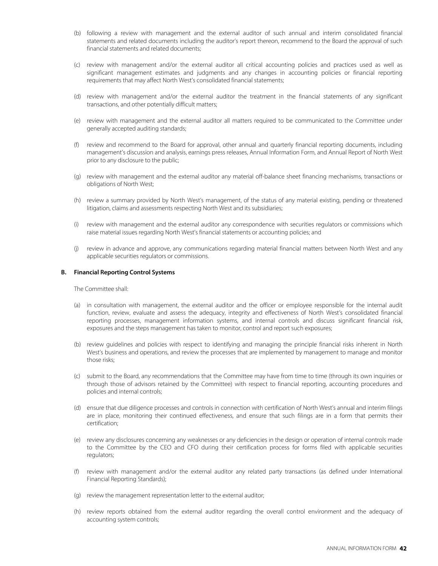- (b) following a review with management and the external auditor of such annual and interim consolidated financial statements and related documents including the auditor's report thereon, recommend to the Board the approval of such financial statements and related documents;
- (c) review with management and/or the external auditor all critical accounting policies and practices used as well as significant management estimates and judgments and any changes in accounting policies or financial reporting requirements that may affect North West's consolidated financial statements;
- (d) review with management and/or the external auditor the treatment in the financial statements of any significant transactions, and other potentially difficult matters;
- (e) review with management and the external auditor all matters required to be communicated to the Committee under generally accepted auditing standards;
- (f) review and recommend to the Board for approval, other annual and quarterly financial reporting documents, including management's discussion and analysis, earnings press releases, Annual Information Form, and Annual Report of North West prior to any disclosure to the public;
- (g) review with management and the external auditor any material off-balance sheet financing mechanisms, transactions or obligations of North West;
- (h) review a summary provided by North West's management, of the status of any material existing, pending or threatened litigation, claims and assessments respecting North West and its subsidiaries;
- (i) review with management and the external auditor any correspondence with securities regulators or commissions which raise material issues regarding North West's financial statements or accounting policies; and
- (j) review in advance and approve, any communications regarding material financial matters between North West and any applicable securities regulators or commissions.

#### **B. Financial Reporting Control Systems**

The Committee shall:

- (a) in consultation with management, the external auditor and the officer or employee responsible for the internal audit function, review, evaluate and assess the adequacy, integrity and effectiveness of North West's consolidated financial reporting processes, management information systems, and internal controls and discuss significant financial risk, exposures and the steps management has taken to monitor, control and report such exposures;
- (b) review guidelines and policies with respect to identifying and managing the principle financial risks inherent in North West's business and operations, and review the processes that are implemented by management to manage and monitor those risks;
- (c) submit to the Board, any recommendations that the Committee may have from time to time (through its own inquiries or through those of advisors retained by the Committee) with respect to financial reporting, accounting procedures and policies and internal controls;
- (d) ensure that due diligence processes and controls in connection with certification of North West's annual and interim filings are in place, monitoring their continued effectiveness, and ensure that such filings are in a form that permits their certification;
- (e) review any disclosures concerning any weaknesses or any deficiencies in the design or operation of internal controls made to the Committee by the CEO and CFO during their certification process for forms filed with applicable securities regulators;
- (f) review with management and/or the external auditor any related party transactions (as defined under International Financial Reporting Standards);
- (g) review the management representation letter to the external auditor;
- (h) review reports obtained from the external auditor regarding the overall control environment and the adequacy of accounting system controls;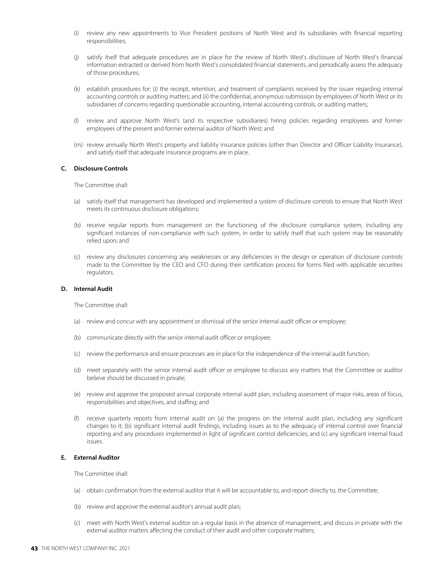- (i) review any new appointments to Vice President positions of North West and its subsidiaries with financial reporting responsibilities;
- (j) satisfy itself that adequate procedures are in place for the review of North West's disclosure of North West's financial information extracted or derived from North West's consolidated financial statements, and periodically assess the adequacy of those procedures;
- (k) establish procedures for: (i) the receipt, retention, and treatment of complaints received by the issuer regarding internal accounting controls or auditing matters; and (ii) the confidential, anonymous submission by employees of North West or its subsidiaries of concerns regarding questionable accounting, internal accounting controls, or auditing matters;
- (l) review and approve North West's (and its respective subsidiaries) hiring policies regarding employees and former employees of the present and former external auditor of North West; and
- (m) review annually North West's property and liability insurance policies (other than Director and Officer Liability Insurance), and satisfy itself that adequate insurance programs are in place.

#### **C. Disclosure Controls**

The Committee shall:

- (a) satisfy itself that management has developed and implemented a system of disclosure controls to ensure that North West meets its continuous disclosure obligations;
- (b) receive regular reports from management on the functioning of the disclosure compliance system, including any significant instances of non-compliance with such system, in order to satisfy itself that such system may be reasonably relied upon; and
- (c) review any disclosures concerning any weaknesses or any deficiencies in the design or operation of disclosure controls made to the Committee by the CEO and CFO during their certification process for forms filed with applicable securities regulators.

#### **D. Internal Audit**

The Committee shall:

- (a) review and concur with any appointment or dismissal of the senior internal audit officer or employee;
- (b) communicate directly with the senior internal audit officer or employee;
- (c) review the performance and ensure processes are in place for the independence of the internal audit function;
- (d) meet separately with the senior internal audit officer or employee to discuss any matters that the Committee or auditor believe should be discussed in private;
- (e) review and approve the proposed annual corporate internal audit plan, including assessment of major risks, areas of focus, responsibilities and objectives, and staffing; and
- (f) receive quarterly reports from internal audit on (a) the progress on the internal audit plan, including any significant changes to it; (b) significant internal audit findings, including issues as to the adequacy of internal control over financial reporting and any procedures implemented in light of significant control deficiencies; and (c) any significant internal fraud issues.

#### **E. External Auditor**

The Committee shall:

- (a) obtain confirmation from the external auditor that it will be accountable to, and report directly to, the Committee;
- (b) review and approve the external auditor's annual audit plan;
- (c) meet with North West's external auditor on a regular basis in the absence of management, and discuss in private with the external auditor matters affecting the conduct of their audit and other corporate matters;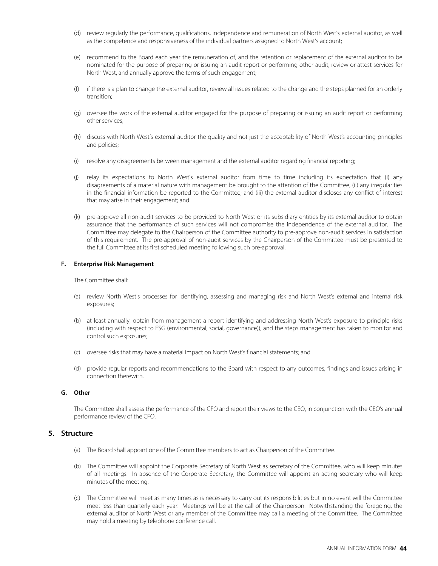- (d) review regularly the performance, qualifications, independence and remuneration of North West's external auditor, as well as the competence and responsiveness of the individual partners assigned to North West's account;
- (e) recommend to the Board each year the remuneration of, and the retention or replacement of the external auditor to be nominated for the purpose of preparing or issuing an audit report or performing other audit, review or attest services for North West, and annually approve the terms of such engagement;
- (f) if there is a plan to change the external auditor, review all issues related to the change and the steps planned for an orderly transition;
- (g) oversee the work of the external auditor engaged for the purpose of preparing or issuing an audit report or performing other services;
- (h) discuss with North West's external auditor the quality and not just the acceptability of North West's accounting principles and policies;
- (i) resolve any disagreements between management and the external auditor regarding financial reporting;
- (j) relay its expectations to North West's external auditor from time to time including its expectation that (i) any disagreements of a material nature with management be brought to the attention of the Committee, (ii) any irregularities in the financial information be reported to the Committee; and (iii) the external auditor discloses any conflict of interest that may arise in their engagement; and
- (k) pre-approve all non-audit services to be provided to North West or its subsidiary entities by its external auditor to obtain assurance that the performance of such services will not compromise the independence of the external auditor. The Committee may delegate to the Chairperson of the Committee authority to pre-approve non-audit services in satisfaction of this requirement. The pre-approval of non-audit services by the Chairperson of the Committee must be presented to the full Committee at its first scheduled meeting following such pre-approval.

#### **F. Enterprise Risk Management**

The Committee shall:

- (a) review North West's processes for identifying, assessing and managing risk and North West's external and internal risk exposures;
- (b) at least annually, obtain from management a report identifying and addressing North West's exposure to principle risks (including with respect to ESG (environmental, social, governance)), and the steps management has taken to monitor and control such exposures;
- (c) oversee risks that may have a material impact on North West's financial statements; and
- (d) provide regular reports and recommendations to the Board with respect to any outcomes, findings and issues arising in connection therewith.

#### **G. Other**

The Committee shall assess the performance of the CFO and report their views to the CEO, in conjunction with the CEO's annual performance review of the CFO.

#### **5. Structure**

- (a) The Board shall appoint one of the Committee members to act as Chairperson of the Committee.
- (b) The Committee will appoint the Corporate Secretary of North West as secretary of the Committee, who will keep minutes of all meetings. In absence of the Corporate Secretary, the Committee will appoint an acting secretary who will keep minutes of the meeting.
- (c) The Committee will meet as many times as is necessary to carry out its responsibilities but in no event will the Committee meet less than quarterly each year. Meetings will be at the call of the Chairperson. Notwithstanding the foregoing, the external auditor of North West or any member of the Committee may call a meeting of the Committee. The Committee may hold a meeting by telephone conference call.